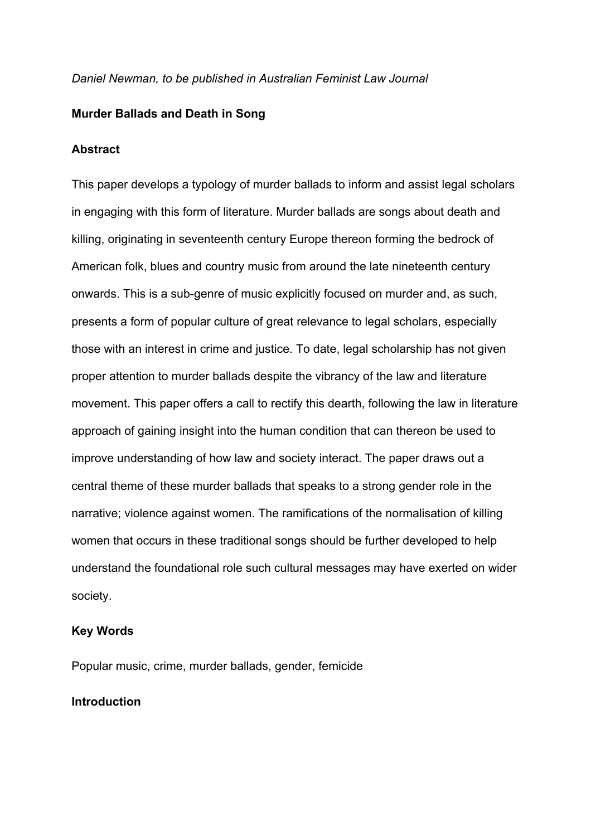#### *Daniel Newman, to be published in Australian Feminist Law Journal*

### **Murder Ballads and Death in Song**

### **Abstract**

This paper develops a typology of murder ballads to inform and assist legal scholars in engaging with this form of literature. Murder ballads are songs about death and killing, originating in seventeenth century Europe thereon forming the bedrock of American folk, blues and country music from around the late nineteenth century onwards. This is a sub-genre of music explicitly focused on murder and, as such, presents a form of popular culture of great relevance to legal scholars, especially those with an interest in crime and justice. To date, legal scholarship has not given proper attention to murder ballads despite the vibrancy of the law and literature movement. This paper offers a call to rectify this dearth, following the law in literature approach of gaining insight into the human condition that can thereon be used to improve understanding of how law and society interact. The paper draws out a central theme of these murder ballads that speaks to a strong gender role in the narrative; violence against women. The ramifications of the normalisation of killing women that occurs in these traditional songs should be further developed to help understand the foundational role such cultural messages may have exerted on wider society.

### **Key Words**

Popular music, crime, murder ballads, gender, femicide

# **Introduction**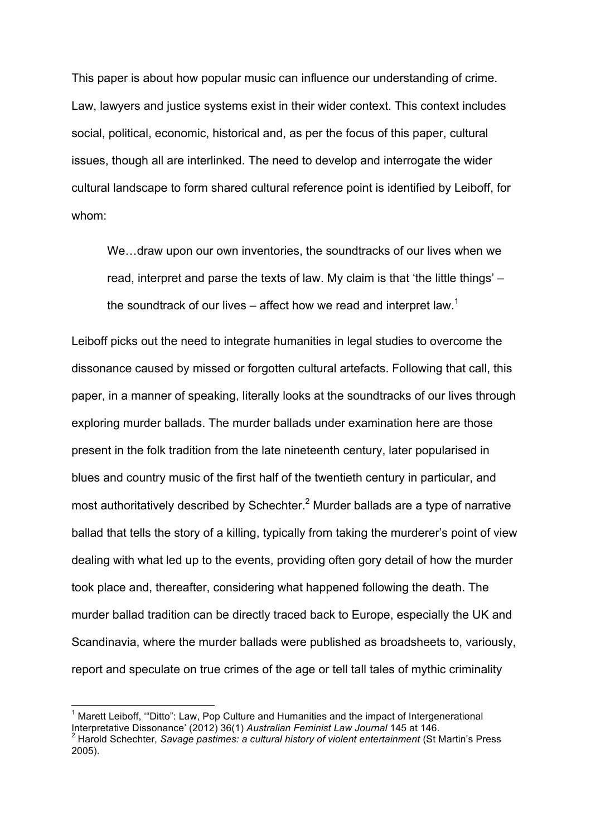This paper is about how popular music can influence our understanding of crime. Law, lawyers and justice systems exist in their wider context. This context includes social, political, economic, historical and, as per the focus of this paper, cultural issues, though all are interlinked. The need to develop and interrogate the wider cultural landscape to form shared cultural reference point is identified by Leiboff, for whom:

We…draw upon our own inventories, the soundtracks of our lives when we read, interpret and parse the texts of law. My claim is that 'the little things' – the soundtrack of our lives – affect how we read and interpret law.<sup>1</sup>

Leiboff picks out the need to integrate humanities in legal studies to overcome the dissonance caused by missed or forgotten cultural artefacts. Following that call, this paper, in a manner of speaking, literally looks at the soundtracks of our lives through exploring murder ballads. The murder ballads under examination here are those present in the folk tradition from the late nineteenth century, later popularised in blues and country music of the first half of the twentieth century in particular, and most authoritatively described by Schechter.<sup>2</sup> Murder ballads are a type of narrative ballad that tells the story of a killing, typically from taking the murderer's point of view dealing with what led up to the events, providing often gory detail of how the murder took place and, thereafter, considering what happened following the death. The murder ballad tradition can be directly traced back to Europe, especially the UK and Scandinavia, where the murder ballads were published as broadsheets to, variously, report and speculate on true crimes of the age or tell tall tales of mythic criminality

<sup>&</sup>lt;sup>1</sup> Marett Leiboff, ""Ditto": Law, Pop Culture and Humanities and the impact of Intergenerational Interpretative Dissonance' (2012) 36(1) *Australian Feminist Law Journal* 145 at 146. <sup>2</sup> Harold Schechter, *Savage pastimes: a cultural history of violent entertainment* (St Martin's Press 2005).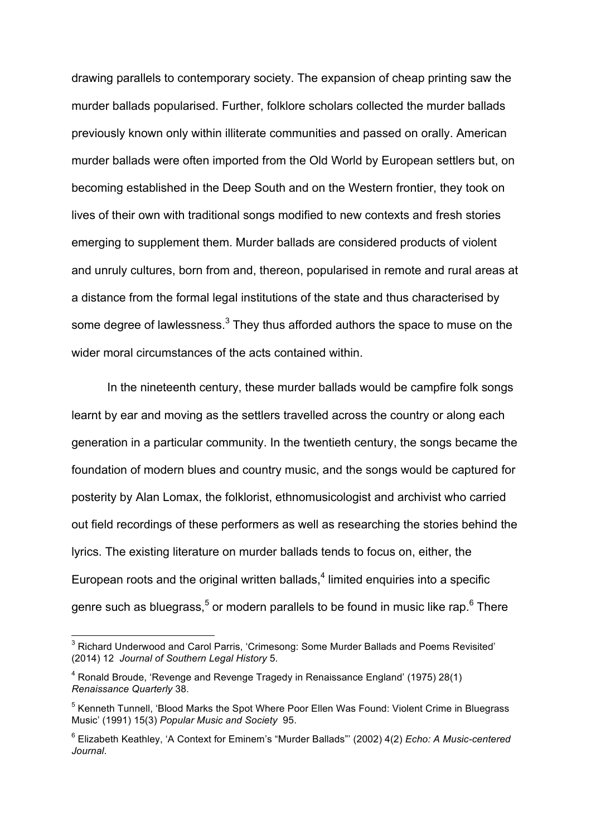drawing parallels to contemporary society. The expansion of cheap printing saw the murder ballads popularised. Further, folklore scholars collected the murder ballads previously known only within illiterate communities and passed on orally. American murder ballads were often imported from the Old World by European settlers but, on becoming established in the Deep South and on the Western frontier, they took on lives of their own with traditional songs modified to new contexts and fresh stories emerging to supplement them. Murder ballads are considered products of violent and unruly cultures, born from and, thereon, popularised in remote and rural areas at a distance from the formal legal institutions of the state and thus characterised by some degree of lawlessness. $3$  They thus afforded authors the space to muse on the wider moral circumstances of the acts contained within.

In the nineteenth century, these murder ballads would be campfire folk songs learnt by ear and moving as the settlers travelled across the country or along each generation in a particular community. In the twentieth century, the songs became the foundation of modern blues and country music, and the songs would be captured for posterity by Alan Lomax, the folklorist, ethnomusicologist and archivist who carried out field recordings of these performers as well as researching the stories behind the lyrics. The existing literature on murder ballads tends to focus on, either, the European roots and the original written ballads, $4$  limited enquiries into a specific genre such as bluegrass,<sup>5</sup> or modern parallels to be found in music like rap. $6$  There

<sup>&</sup>lt;sup>3</sup> Richard Underwood and Carol Parris, 'Crimesong: Some Murder Ballads and Poems Revisited' (2014) 12 *Journal of Southern Legal History* 5.

<sup>4</sup> Ronald Broude, 'Revenge and Revenge Tragedy in Renaissance England' (1975) 28(1) *Renaissance Quarterly* 38.

<sup>&</sup>lt;sup>5</sup> Kenneth Tunnell, 'Blood Marks the Spot Where Poor Ellen Was Found: Violent Crime in Bluegrass Music' (1991) 15(3) *Popular Music and Society* 95.

<sup>6</sup> Elizabeth Keathley, 'A Context for Eminem's "Murder Ballads"' (2002) 4(2) *Echo: A Music-centered Journal*.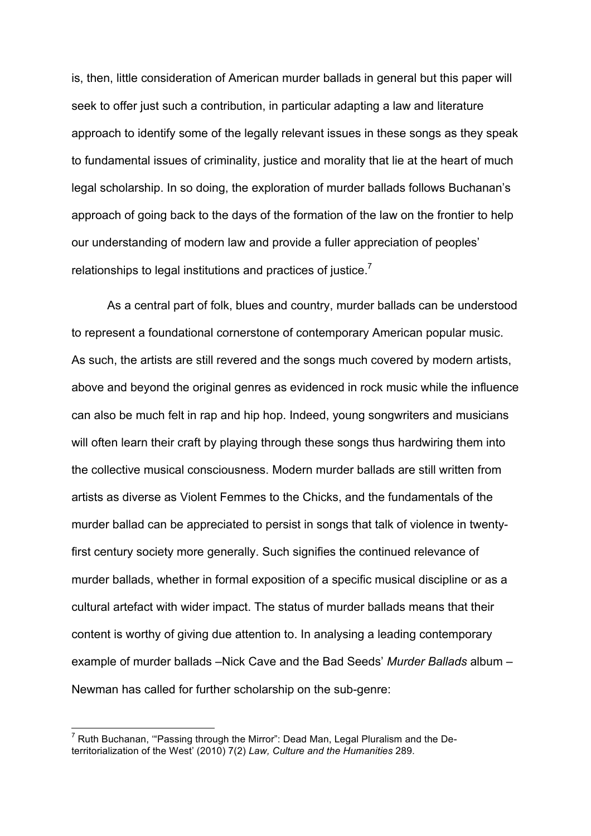is, then, little consideration of American murder ballads in general but this paper will seek to offer just such a contribution, in particular adapting a law and literature approach to identify some of the legally relevant issues in these songs as they speak to fundamental issues of criminality, justice and morality that lie at the heart of much legal scholarship. In so doing, the exploration of murder ballads follows Buchanan's approach of going back to the days of the formation of the law on the frontier to help our understanding of modern law and provide a fuller appreciation of peoples' relationships to legal institutions and practices of justice.<sup>7</sup>

As a central part of folk, blues and country, murder ballads can be understood to represent a foundational cornerstone of contemporary American popular music. As such, the artists are still revered and the songs much covered by modern artists, above and beyond the original genres as evidenced in rock music while the influence can also be much felt in rap and hip hop. Indeed, young songwriters and musicians will often learn their craft by playing through these songs thus hardwiring them into the collective musical consciousness. Modern murder ballads are still written from artists as diverse as Violent Femmes to the Chicks, and the fundamentals of the murder ballad can be appreciated to persist in songs that talk of violence in twentyfirst century society more generally. Such signifies the continued relevance of murder ballads, whether in formal exposition of a specific musical discipline or as a cultural artefact with wider impact. The status of murder ballads means that their content is worthy of giving due attention to. In analysing a leading contemporary example of murder ballads –Nick Cave and the Bad Seeds' *Murder Ballads* album – Newman has called for further scholarship on the sub-genre:

 $<sup>7</sup>$  Ruth Buchanan, "Passing through the Mirror": Dead Man, Legal Pluralism and the De-</sup> territorialization of the West' (2010) 7(2) *Law, Culture and the Humanities* 289.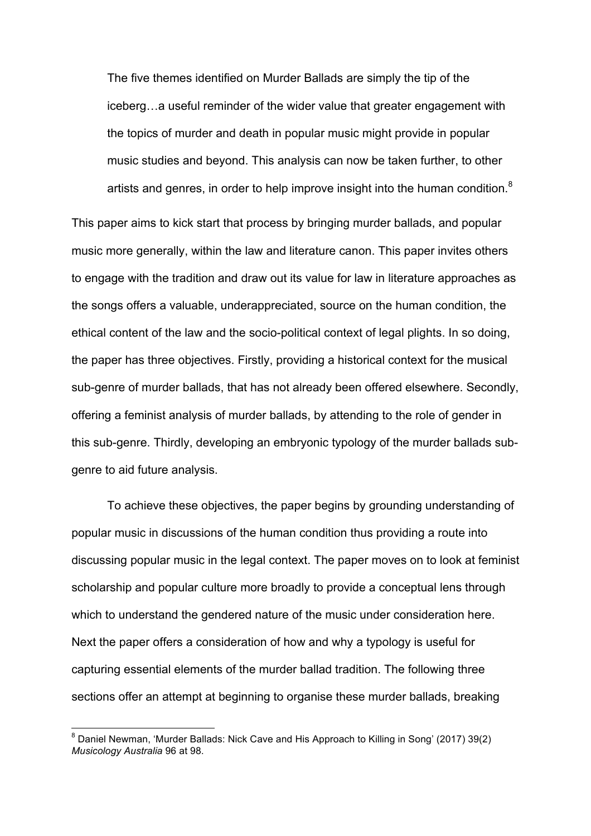The five themes identified on Murder Ballads are simply the tip of the iceberg…a useful reminder of the wider value that greater engagement with the topics of murder and death in popular music might provide in popular music studies and beyond. This analysis can now be taken further, to other artists and genres, in order to help improve insight into the human condition.<sup>8</sup>

This paper aims to kick start that process by bringing murder ballads, and popular music more generally, within the law and literature canon. This paper invites others to engage with the tradition and draw out its value for law in literature approaches as the songs offers a valuable, underappreciated, source on the human condition, the ethical content of the law and the socio-political context of legal plights. In so doing, the paper has three objectives. Firstly, providing a historical context for the musical sub-genre of murder ballads, that has not already been offered elsewhere. Secondly, offering a feminist analysis of murder ballads, by attending to the role of gender in this sub-genre. Thirdly, developing an embryonic typology of the murder ballads subgenre to aid future analysis.

To achieve these objectives, the paper begins by grounding understanding of popular music in discussions of the human condition thus providing a route into discussing popular music in the legal context. The paper moves on to look at feminist scholarship and popular culture more broadly to provide a conceptual lens through which to understand the gendered nature of the music under consideration here. Next the paper offers a consideration of how and why a typology is useful for capturing essential elements of the murder ballad tradition. The following three sections offer an attempt at beginning to organise these murder ballads, breaking

 <sup>8</sup> Daniel Newman, 'Murder Ballads: Nick Cave and His Approach to Killing in Song' (2017) 39(2) *Musicology Australia* 96 at 98.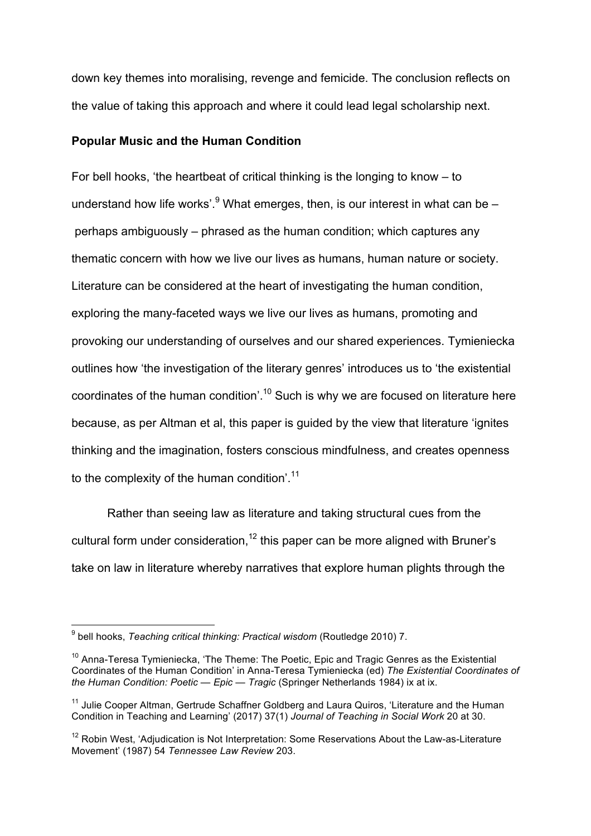down key themes into moralising, revenge and femicide. The conclusion reflects on the value of taking this approach and where it could lead legal scholarship next.

### **Popular Music and the Human Condition**

For bell hooks, 'the heartbeat of critical thinking is the longing to know – to understand how life works'.<sup>9</sup> What emerges, then, is our interest in what can be  $$ perhaps ambiguously – phrased as the human condition; which captures any thematic concern with how we live our lives as humans, human nature or society. Literature can be considered at the heart of investigating the human condition, exploring the many-faceted ways we live our lives as humans, promoting and provoking our understanding of ourselves and our shared experiences. Tymieniecka outlines how 'the investigation of the literary genres' introduces us to 'the existential coordinates of the human condition'.10 Such is why we are focused on literature here because, as per Altman et al, this paper is guided by the view that literature 'ignites thinking and the imagination, fosters conscious mindfulness, and creates openness to the complexity of the human condition'.<sup>11</sup>

Rather than seeing law as literature and taking structural cues from the cultural form under consideration,<sup>12</sup> this paper can be more aligned with Bruner's take on law in literature whereby narratives that explore human plights through the

 <sup>9</sup> bell hooks, *Teaching critical thinking: Practical wisdom* (Routledge 2010) 7.

 $10$  Anna-Teresa Tymieniecka, 'The Theme: The Poetic, Epic and Tragic Genres as the Existential Coordinates of the Human Condition' in Anna-Teresa Tymieniecka (ed) *The Existential Coordinates of the Human Condition: Poetic — Epic — Tragic* (Springer Netherlands 1984) ix at ix.

<sup>&</sup>lt;sup>11</sup> Julie Cooper Altman, Gertrude Schaffner Goldberg and Laura Quiros, 'Literature and the Human Condition in Teaching and Learning' (2017) 37(1) *Journal of Teaching in Social Work* 20 at 30.

<sup>&</sup>lt;sup>12</sup> Robin West, 'Adjudication is Not Interpretation: Some Reservations About the Law-as-Literature Movement' (1987) 54 *Tennessee Law Review* 203.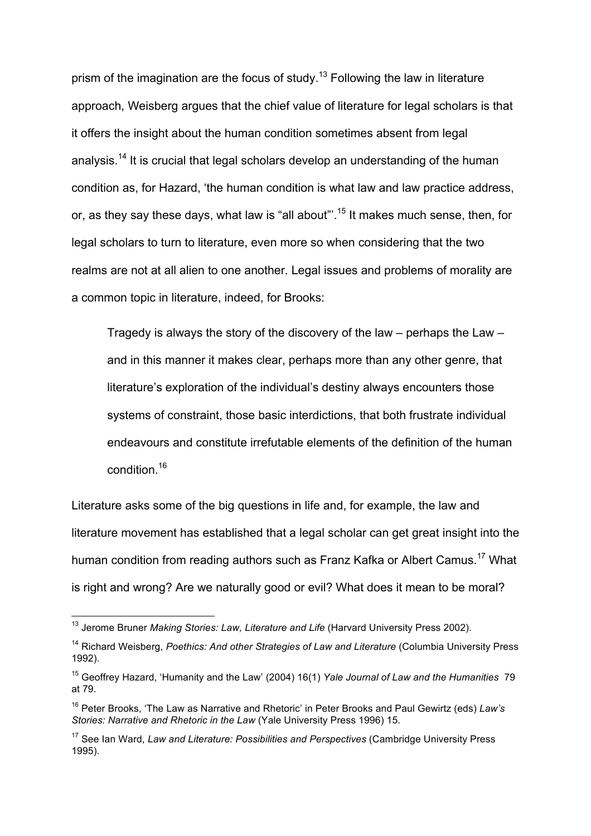prism of the imagination are the focus of study.<sup>13</sup> Following the law in literature approach, Weisberg argues that the chief value of literature for legal scholars is that it offers the insight about the human condition sometimes absent from legal analysis.<sup>14</sup> It is crucial that legal scholars develop an understanding of the human condition as, for Hazard, 'the human condition is what law and law practice address, or, as they say these days, what law is "all about"'.15 It makes much sense, then, for legal scholars to turn to literature, even more so when considering that the two realms are not at all alien to one another. Legal issues and problems of morality are a common topic in literature, indeed, for Brooks:

Tragedy is always the story of the discovery of the law – perhaps the Law – and in this manner it makes clear, perhaps more than any other genre, that literature's exploration of the individual's destiny always encounters those systems of constraint, those basic interdictions, that both frustrate individual endeavours and constitute irrefutable elements of the definition of the human condition.16

Literature asks some of the big questions in life and, for example, the law and literature movement has established that a legal scholar can get great insight into the human condition from reading authors such as Franz Kafka or Albert Camus.<sup>17</sup> What is right and wrong? Are we naturally good or evil? What does it mean to be moral?

 <sup>13</sup> Jerome Bruner *Making Stories: Law, Literature and Life* (Harvard University Press 2002).

<sup>&</sup>lt;sup>14</sup> Richard Weisberg, *Poethics: And other Strategies of Law and Literature* (Columbia University Press 1992).

<sup>15</sup> Geoffrey Hazard, 'Humanity and the Law' (2004) 16(1) *Yale Journal of Law and the Humanities* 79 at 79.

<sup>16</sup> Peter Brooks, 'The Law as Narrative and Rhetoric' in Peter Brooks and Paul Gewirtz (eds) *Law's Stories: Narrative and Rhetoric in the Law* (Yale University Press 1996) 15.

<sup>17</sup> See Ian Ward, *Law and Literature: Possibilities and Perspectives* (Cambridge University Press 1995).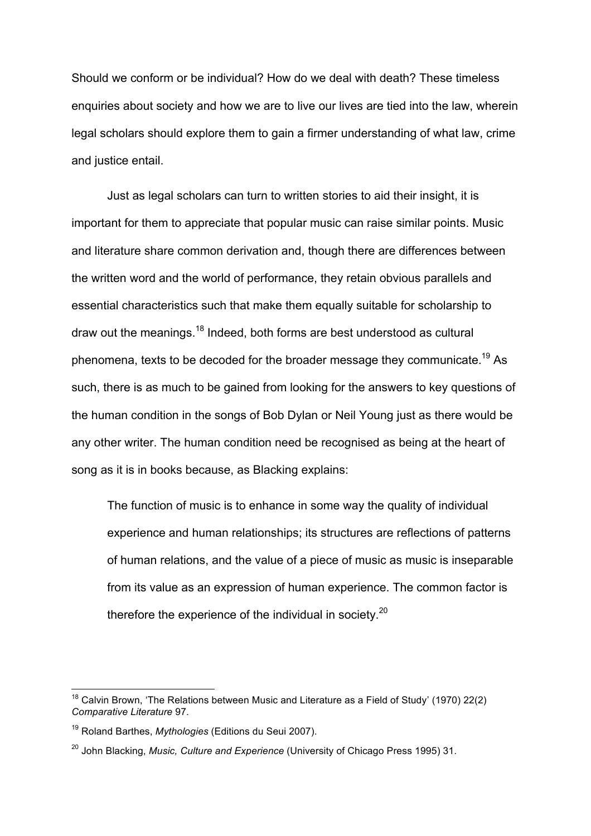Should we conform or be individual? How do we deal with death? These timeless enquiries about society and how we are to live our lives are tied into the law, wherein legal scholars should explore them to gain a firmer understanding of what law, crime and justice entail.

Just as legal scholars can turn to written stories to aid their insight, it is important for them to appreciate that popular music can raise similar points. Music and literature share common derivation and, though there are differences between the written word and the world of performance, they retain obvious parallels and essential characteristics such that make them equally suitable for scholarship to draw out the meanings.<sup>18</sup> Indeed, both forms are best understood as cultural phenomena, texts to be decoded for the broader message they communicate.<sup>19</sup> As such, there is as much to be gained from looking for the answers to key questions of the human condition in the songs of Bob Dylan or Neil Young just as there would be any other writer. The human condition need be recognised as being at the heart of song as it is in books because, as Blacking explains:

The function of music is to enhance in some way the quality of individual experience and human relationships; its structures are reflections of patterns of human relations, and the value of a piece of music as music is inseparable from its value as an expression of human experience. The common factor is therefore the experience of the individual in society.<sup>20</sup>

 $18$  Calvin Brown, 'The Relations between Music and Literature as a Field of Study' (1970) 22(2) *Comparative Literature* 97.

<sup>19</sup> Roland Barthes, *Mythologies* (Editions du Seui 2007).

<sup>20</sup> John Blacking, *Music, Culture and Experience* (University of Chicago Press 1995) 31.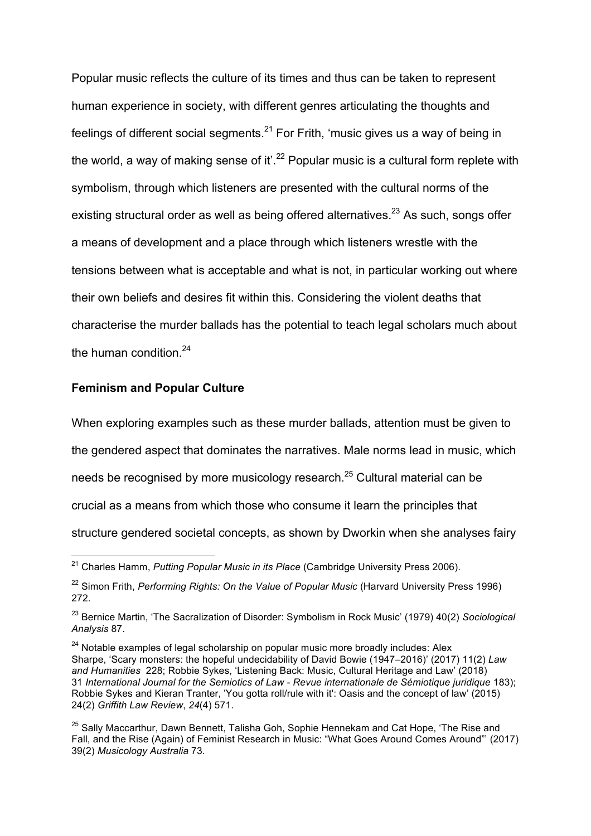Popular music reflects the culture of its times and thus can be taken to represent human experience in society, with different genres articulating the thoughts and feelings of different social segments. $2<sup>1</sup>$  For Frith, 'music gives us a way of being in the world, a way of making sense of it'.<sup>22</sup> Popular music is a cultural form replete with symbolism, through which listeners are presented with the cultural norms of the existing structural order as well as being offered alternatives.<sup>23</sup> As such, songs offer a means of development and a place through which listeners wrestle with the tensions between what is acceptable and what is not, in particular working out where their own beliefs and desires fit within this. Considering the violent deaths that characterise the murder ballads has the potential to teach legal scholars much about the human condition. $24$ 

#### **Feminism and Popular Culture**

When exploring examples such as these murder ballads, attention must be given to the gendered aspect that dominates the narratives. Male norms lead in music, which needs be recognised by more musicology research.<sup>25</sup> Cultural material can be crucial as a means from which those who consume it learn the principles that structure gendered societal concepts, as shown by Dworkin when she analyses fairy

 <sup>21</sup> Charles Hamm, *Putting Popular Music in its Place* (Cambridge University Press 2006).

<sup>&</sup>lt;sup>22</sup> Simon Frith, *Performing Rights: On the Value of Popular Music* (Harvard University Press 1996) 272.

<sup>23</sup> Bernice Martin, 'The Sacralization of Disorder: Symbolism in Rock Music' (1979) 40(2) *Sociological Analysis* 87.

 $24$  Notable examples of legal scholarship on popular music more broadly includes: Alex Sharpe, 'Scary monsters: the hopeful undecidability of David Bowie (1947–2016)' (2017) 11(2) *Law and Humanities* 228; Robbie Sykes, 'Listening Back: Music, Cultural Heritage and Law' (2018) 31 *International Journal for the Semiotics of Law - Revue internationale de Sémiotique juridique* 183); Robbie Sykes and Kieran Tranter, 'You gotta roll/rule with it': Oasis and the concept of law' (2015) 24(2) *Griffith Law Review*, *24*(4) 571.

<sup>&</sup>lt;sup>25</sup> Sally Maccarthur. Dawn Bennett. Talisha Goh, Sophie Hennekam and Cat Hope, 'The Rise and Fall, and the Rise (Again) of Feminist Research in Music: "What Goes Around Comes Around"' (2017) 39(2) *Musicology Australia* 73.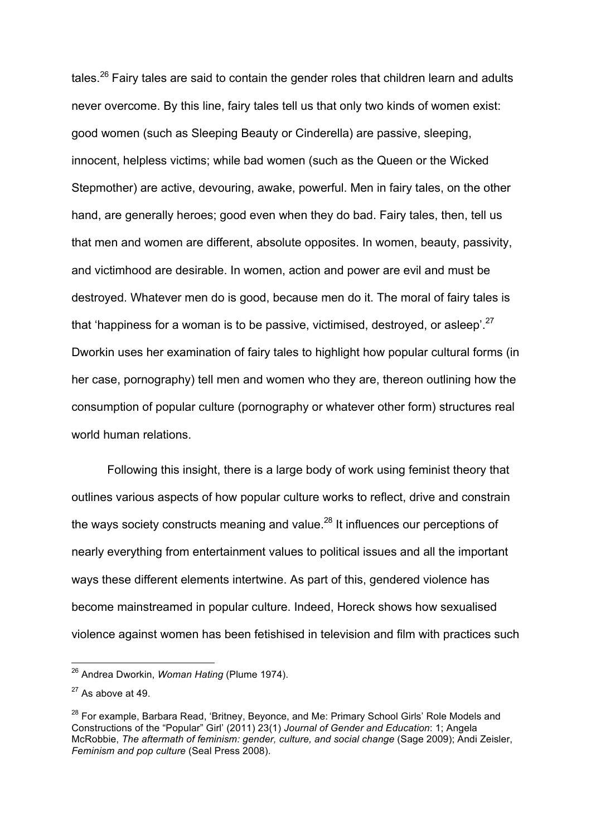tales.<sup>26</sup> Fairy tales are said to contain the gender roles that children learn and adults never overcome. By this line, fairy tales tell us that only two kinds of women exist: good women (such as Sleeping Beauty or Cinderella) are passive, sleeping, innocent, helpless victims; while bad women (such as the Queen or the Wicked Stepmother) are active, devouring, awake, powerful. Men in fairy tales, on the other hand, are generally heroes; good even when they do bad. Fairy tales, then, tell us that men and women are different, absolute opposites. In women, beauty, passivity, and victimhood are desirable. In women, action and power are evil and must be destroyed. Whatever men do is good, because men do it. The moral of fairy tales is that 'happiness for a woman is to be passive, victimised, destroyed, or asleep'.<sup>27</sup> Dworkin uses her examination of fairy tales to highlight how popular cultural forms (in her case, pornography) tell men and women who they are, thereon outlining how the consumption of popular culture (pornography or whatever other form) structures real world human relations.

Following this insight, there is a large body of work using feminist theory that outlines various aspects of how popular culture works to reflect, drive and constrain the ways society constructs meaning and value.<sup>28</sup> It influences our perceptions of nearly everything from entertainment values to political issues and all the important ways these different elements intertwine. As part of this, gendered violence has become mainstreamed in popular culture. Indeed, Horeck shows how sexualised violence against women has been fetishised in television and film with practices such

 <sup>26</sup> Andrea Dworkin, *Woman Hating* (Plume 1974).

 $27$  As above at 49.

<sup>&</sup>lt;sup>28</sup> For example, Barbara Read, 'Britney, Beyonce, and Me: Primary School Girls' Role Models and Constructions of the "Popular" Girl' (2011) 23(1) *Journal of Gender and Education*: 1; Angela McRobbie, *The aftermath of feminism: gender, culture, and social change* (Sage 2009); Andi Zeisler, *Feminism and pop culture* (Seal Press 2008).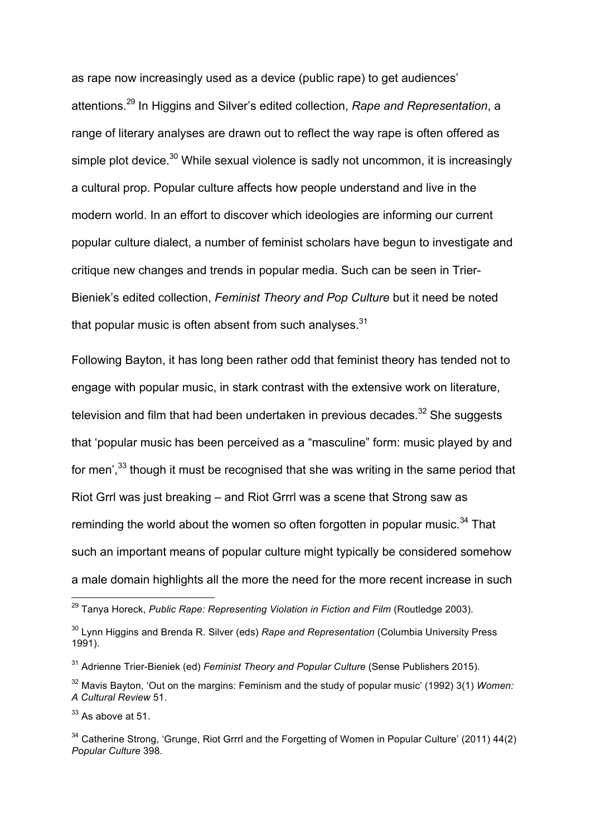as rape now increasingly used as a device (public rape) to get audiences' attentions. <sup>29</sup> In Higgins and Silver's edited collection, *Rape and Representation*, a range of literary analyses are drawn out to reflect the way rape is often offered as simple plot device.<sup>30</sup> While sexual violence is sadly not uncommon, it is increasingly a cultural prop. Popular culture affects how people understand and live in the modern world. In an effort to discover which ideologies are informing our current popular culture dialect, a number of feminist scholars have begun to investigate and critique new changes and trends in popular media. Such can be seen in Trier-Bieniek's edited collection, *Feminist Theory and Pop Culture* but it need be noted that popular music is often absent from such analyses. $31$ 

Following Bayton, it has long been rather odd that feminist theory has tended not to engage with popular music, in stark contrast with the extensive work on literature, television and film that had been undertaken in previous decades.<sup>32</sup> She suggests that 'popular music has been perceived as a "masculine" form: music played by and for men',<sup>33</sup> though it must be recognised that she was writing in the same period that Riot Grrl was just breaking – and Riot Grrrl was a scene that Strong saw as reminding the world about the women so often forgotten in popular music.<sup>34</sup> That such an important means of popular culture might typically be considered somehow a male domain highlights all the more the need for the more recent increase in such

 $33$  As above at 51.

 <sup>29</sup> Tanya Horeck, *Public Rape: Representing Violation in Fiction and Film* (Routledge 2003).

<sup>30</sup> Lynn Higgins and Brenda R. Silver (eds) *Rape and Representation* (Columbia University Press 1991).

<sup>31</sup> Adrienne Trier-Bieniek (ed) *Feminist Theory and Popular Culture* (Sense Publishers 2015).

<sup>32</sup> Mavis Bayton, 'Out on the margins: Feminism and the study of popular music' (1992) 3(1) *Women: A Cultural Review* 51.

<sup>&</sup>lt;sup>34</sup> Catherine Strong, 'Grunge, Riot Grrrl and the Forgetting of Women in Popular Culture' (2011) 44(2) *Popular Culture* 398.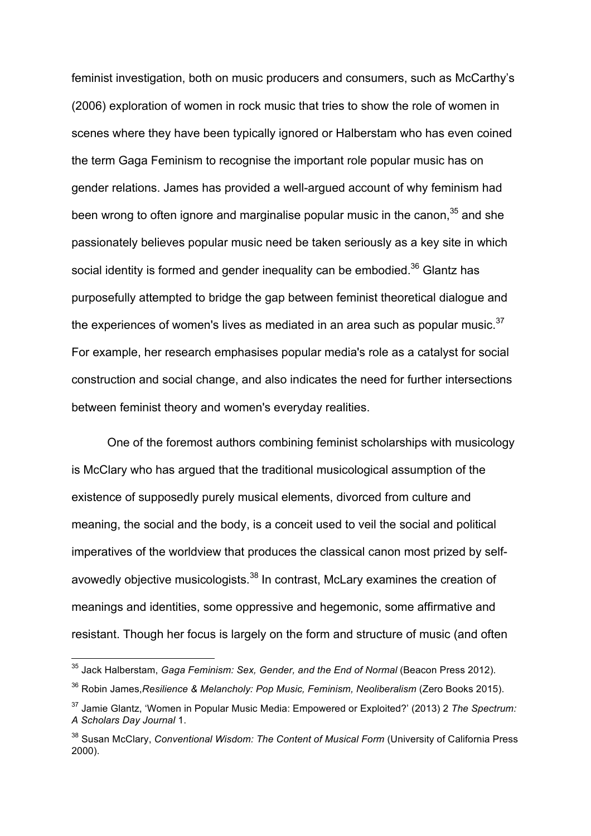feminist investigation, both on music producers and consumers, such as McCarthy's (2006) exploration of women in rock music that tries to show the role of women in scenes where they have been typically ignored or Halberstam who has even coined the term Gaga Feminism to recognise the important role popular music has on gender relations. James has provided a well-argued account of why feminism had been wrong to often ignore and marginalise popular music in the canon,<sup>35</sup> and she passionately believes popular music need be taken seriously as a key site in which social identity is formed and gender inequality can be embodied.<sup>36</sup> Glantz has purposefully attempted to bridge the gap between feminist theoretical dialogue and the experiences of women's lives as mediated in an area such as popular music. $37$ For example, her research emphasises popular media's role as a catalyst for social construction and social change, and also indicates the need for further intersections between feminist theory and women's everyday realities.

One of the foremost authors combining feminist scholarships with musicology is McClary who has argued that the traditional musicological assumption of the existence of supposedly purely musical elements, divorced from culture and meaning, the social and the body, is a conceit used to veil the social and political imperatives of the worldview that produces the classical canon most prized by selfavowedly objective musicologists.<sup>38</sup> In contrast, McLary examines the creation of meanings and identities, some oppressive and hegemonic, some affirmative and resistant. Though her focus is largely on the form and structure of music (and often

 <sup>35</sup> Jack Halberstam, *Gaga Feminism: Sex, Gender, and the End of Normal* (Beacon Press 2012).

<sup>36</sup> Robin James,*Resilience & Melancholy: Pop Music, Feminism, Neoliberalism* (Zero Books 2015).

<sup>37</sup> Jamie Glantz, 'Women in Popular Music Media: Empowered or Exploited?' (2013) 2 *The Spectrum: A Scholars Day Journal* 1.

<sup>38</sup> Susan McClary, *Conventional Wisdom: The Content of Musical Form* (University of California Press 2000).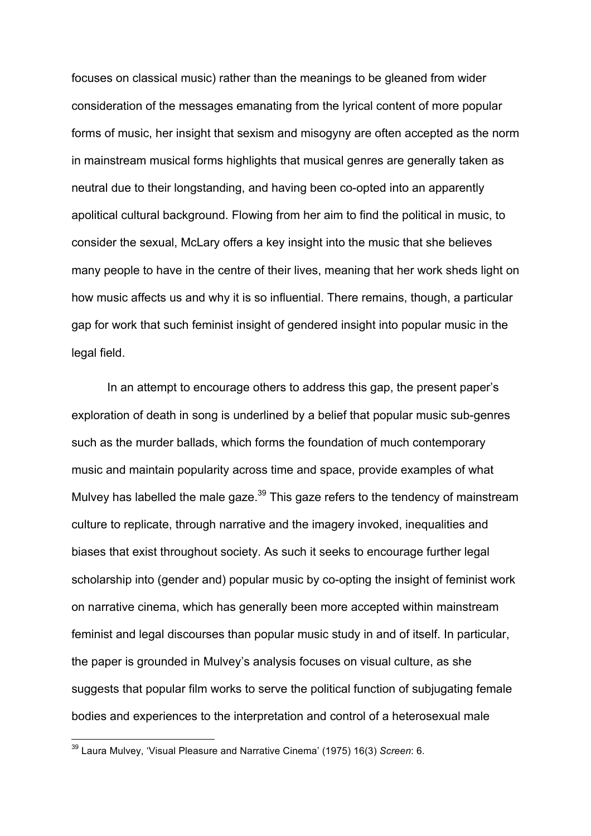focuses on classical music) rather than the meanings to be gleaned from wider consideration of the messages emanating from the lyrical content of more popular forms of music, her insight that sexism and misogyny are often accepted as the norm in mainstream musical forms highlights that musical genres are generally taken as neutral due to their longstanding, and having been co-opted into an apparently apolitical cultural background. Flowing from her aim to find the political in music, to consider the sexual, McLary offers a key insight into the music that she believes many people to have in the centre of their lives, meaning that her work sheds light on how music affects us and why it is so influential. There remains, though, a particular gap for work that such feminist insight of gendered insight into popular music in the legal field.

In an attempt to encourage others to address this gap, the present paper's exploration of death in song is underlined by a belief that popular music sub-genres such as the murder ballads, which forms the foundation of much contemporary music and maintain popularity across time and space, provide examples of what Mulvey has labelled the male gaze. $39$  This gaze refers to the tendency of mainstream culture to replicate, through narrative and the imagery invoked, inequalities and biases that exist throughout society. As such it seeks to encourage further legal scholarship into (gender and) popular music by co-opting the insight of feminist work on narrative cinema, which has generally been more accepted within mainstream feminist and legal discourses than popular music study in and of itself. In particular, the paper is grounded in Mulvey's analysis focuses on visual culture, as she suggests that popular film works to serve the political function of subjugating female bodies and experiences to the interpretation and control of a heterosexual male

 <sup>39</sup> Laura Mulvey, 'Visual Pleasure and Narrative Cinema' (1975) 16(3) *Screen*: 6.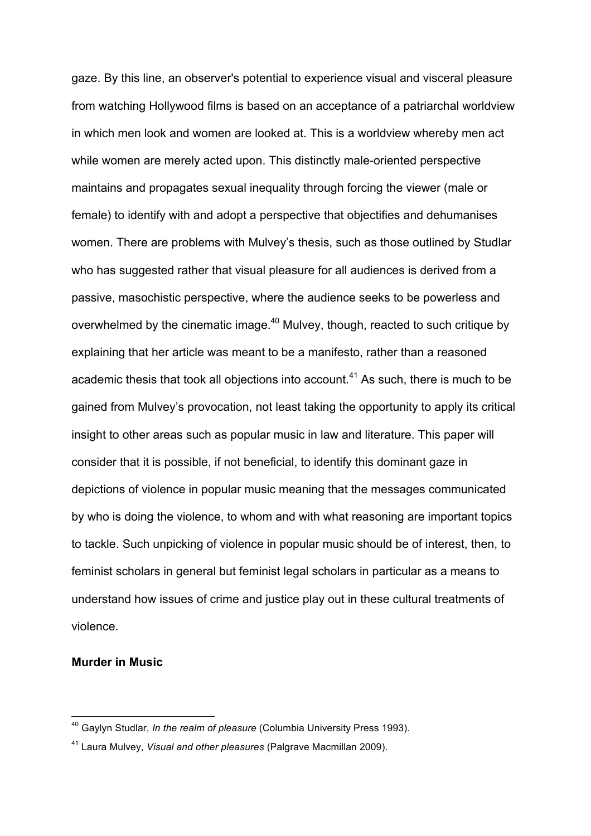gaze. By this line, an observer's potential to experience visual and visceral pleasure from watching Hollywood films is based on an acceptance of a patriarchal worldview in which men look and women are looked at. This is a worldview whereby men act while women are merely acted upon. This distinctly male-oriented perspective maintains and propagates sexual inequality through forcing the viewer (male or female) to identify with and adopt a perspective that objectifies and dehumanises women. There are problems with Mulvey's thesis, such as those outlined by Studlar who has suggested rather that visual pleasure for all audiences is derived from a passive, masochistic perspective, where the audience seeks to be powerless and overwhelmed by the cinematic image.<sup>40</sup> Mulvey, though, reacted to such critique by explaining that her article was meant to be a manifesto, rather than a reasoned academic thesis that took all objections into account. $41$  As such, there is much to be gained from Mulvey's provocation, not least taking the opportunity to apply its critical insight to other areas such as popular music in law and literature. This paper will consider that it is possible, if not beneficial, to identify this dominant gaze in depictions of violence in popular music meaning that the messages communicated by who is doing the violence, to whom and with what reasoning are important topics to tackle. Such unpicking of violence in popular music should be of interest, then, to feminist scholars in general but feminist legal scholars in particular as a means to understand how issues of crime and justice play out in these cultural treatments of violence.

### **Murder in Music**

 <sup>40</sup> Gaylyn Studlar, *In the realm of pleasure* (Columbia University Press 1993).

<sup>41</sup> Laura Mulvey, *Visual and other pleasures* (Palgrave Macmillan 2009).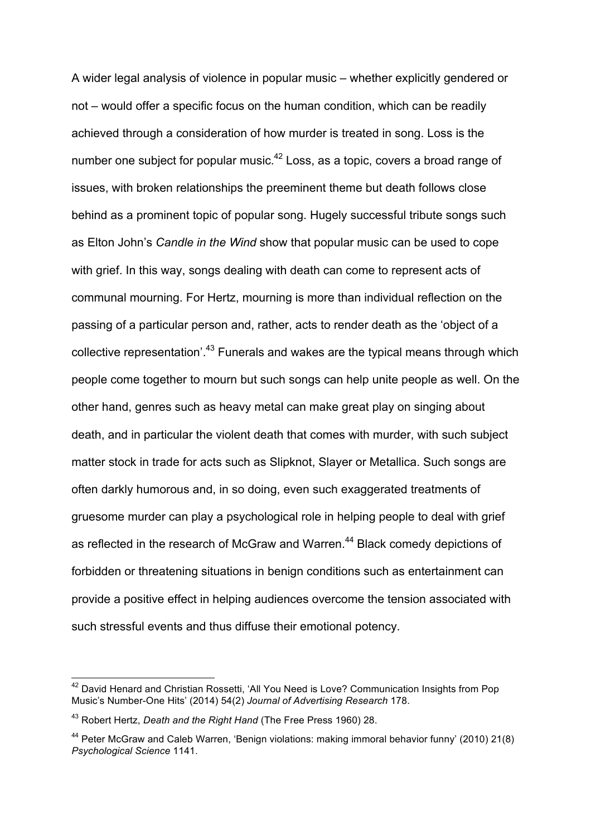A wider legal analysis of violence in popular music – whether explicitly gendered or not – would offer a specific focus on the human condition, which can be readily achieved through a consideration of how murder is treated in song. Loss is the number one subject for popular music.<sup>42</sup> Loss, as a topic, covers a broad range of issues, with broken relationships the preeminent theme but death follows close behind as a prominent topic of popular song. Hugely successful tribute songs such as Elton John's *Candle in the Wind* show that popular music can be used to cope with grief. In this way, songs dealing with death can come to represent acts of communal mourning. For Hertz, mourning is more than individual reflection on the passing of a particular person and, rather, acts to render death as the 'object of a collective representation'.43 Funerals and wakes are the typical means through which people come together to mourn but such songs can help unite people as well. On the other hand, genres such as heavy metal can make great play on singing about death, and in particular the violent death that comes with murder, with such subject matter stock in trade for acts such as Slipknot, Slayer or Metallica. Such songs are often darkly humorous and, in so doing, even such exaggerated treatments of gruesome murder can play a psychological role in helping people to deal with grief as reflected in the research of McGraw and Warren.<sup>44</sup> Black comedy depictions of forbidden or threatening situations in benign conditions such as entertainment can provide a positive effect in helping audiences overcome the tension associated with such stressful events and thus diffuse their emotional potency.

<sup>&</sup>lt;sup>42</sup> David Henard and Christian Rossetti, 'All You Need is Love? Communication Insights from Pop Music's Number-One Hits' (2014) 54(2) *Journal of Advertising Research* 178.

<sup>43</sup> Robert Hertz, *Death and the Right Hand* (The Free Press 1960) 28.

<sup>44</sup> Peter McGraw and Caleb Warren, 'Benign violations: making immoral behavior funny' (2010) 21(8) *Psychological Science* 1141.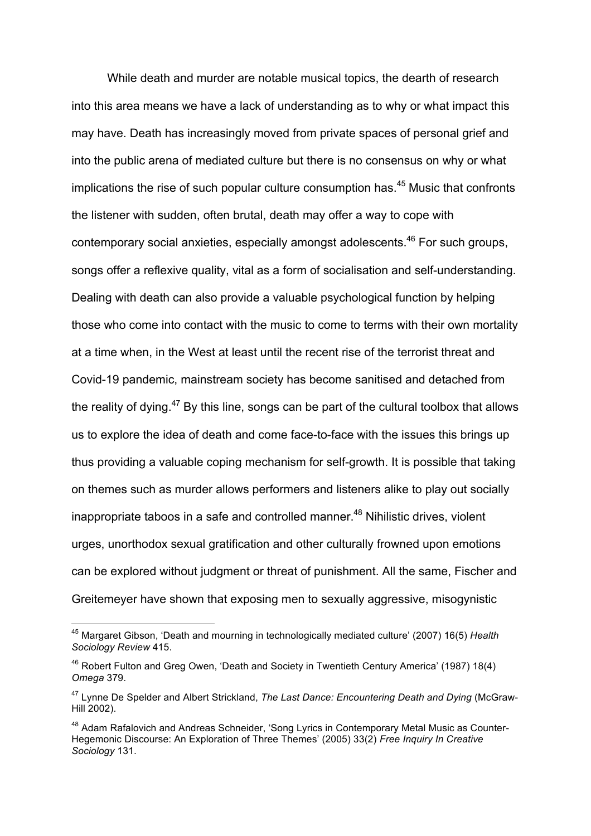While death and murder are notable musical topics, the dearth of research into this area means we have a lack of understanding as to why or what impact this may have. Death has increasingly moved from private spaces of personal grief and into the public arena of mediated culture but there is no consensus on why or what implications the rise of such popular culture consumption has.<sup>45</sup> Music that confronts the listener with sudden, often brutal, death may offer a way to cope with contemporary social anxieties, especially amongst adolescents.<sup>46</sup> For such groups, songs offer a reflexive quality, vital as a form of socialisation and self-understanding. Dealing with death can also provide a valuable psychological function by helping those who come into contact with the music to come to terms with their own mortality at a time when, in the West at least until the recent rise of the terrorist threat and Covid-19 pandemic, mainstream society has become sanitised and detached from the reality of dying. $47$  By this line, songs can be part of the cultural toolbox that allows us to explore the idea of death and come face-to-face with the issues this brings up thus providing a valuable coping mechanism for self-growth. It is possible that taking on themes such as murder allows performers and listeners alike to play out socially inappropriate taboos in a safe and controlled manner.<sup>48</sup> Nihilistic drives, violent urges, unorthodox sexual gratification and other culturally frowned upon emotions can be explored without judgment or threat of punishment. All the same, Fischer and Greitemeyer have shown that exposing men to sexually aggressive, misogynistic

 <sup>45</sup> Margaret Gibson, 'Death and mourning in technologically mediated culture' (2007) 16(5) *Health Sociology Review* 415.

 $46$  Robert Fulton and Greg Owen, 'Death and Society in Twentieth Century America' (1987) 18(4) *Omega* 379.

<sup>47</sup> Lynne De Spelder and Albert Strickland, *The Last Dance: Encountering Death and Dying* (McGraw-Hill 2002).

<sup>&</sup>lt;sup>48</sup> Adam Rafalovich and Andreas Schneider, 'Song Lyrics in Contemporary Metal Music as Counter-Hegemonic Discourse: An Exploration of Three Themes' (2005) 33(2) *Free Inquiry In Creative Sociology* 131.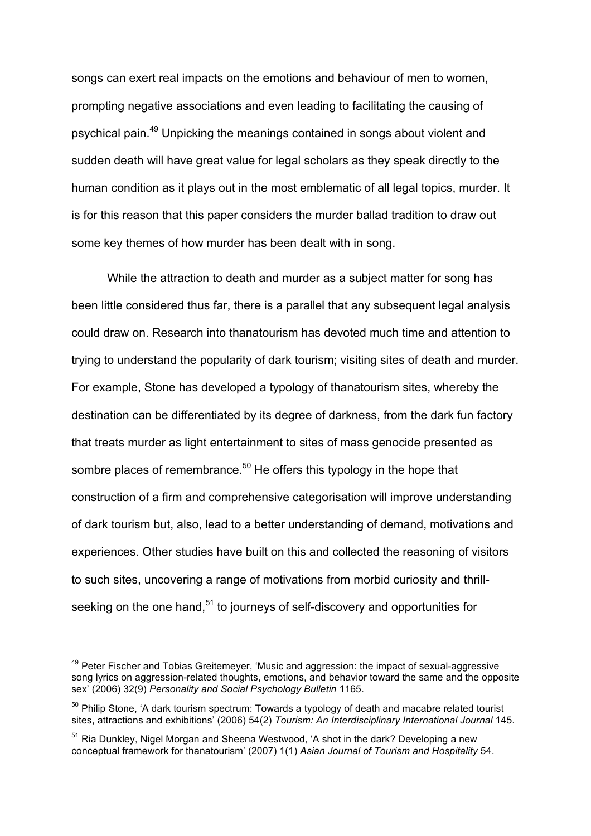songs can exert real impacts on the emotions and behaviour of men to women, prompting negative associations and even leading to facilitating the causing of psychical pain.<sup>49</sup> Unpicking the meanings contained in songs about violent and sudden death will have great value for legal scholars as they speak directly to the human condition as it plays out in the most emblematic of all legal topics, murder. It is for this reason that this paper considers the murder ballad tradition to draw out some key themes of how murder has been dealt with in song.

While the attraction to death and murder as a subject matter for song has been little considered thus far, there is a parallel that any subsequent legal analysis could draw on. Research into thanatourism has devoted much time and attention to trying to understand the popularity of dark tourism; visiting sites of death and murder. For example, Stone has developed a typology of thanatourism sites, whereby the destination can be differentiated by its degree of darkness, from the dark fun factory that treats murder as light entertainment to sites of mass genocide presented as sombre places of remembrance. $50$  He offers this typology in the hope that construction of a firm and comprehensive categorisation will improve understanding of dark tourism but, also, lead to a better understanding of demand, motivations and experiences. Other studies have built on this and collected the reasoning of visitors to such sites, uncovering a range of motivations from morbid curiosity and thrillseeking on the one hand,<sup>51</sup> to journeys of self-discovery and opportunities for

<sup>&</sup>lt;sup>49</sup> Peter Fischer and Tobias Greitemeyer, 'Music and aggression: the impact of sexual-aggressive song lyrics on aggression-related thoughts, emotions, and behavior toward the same and the opposite sex' (2006) 32(9) *Personality and Social Psychology Bulletin* 1165.

 $50$  Philip Stone, 'A dark tourism spectrum: Towards a typology of death and macabre related tourist sites, attractions and exhibitions' (2006) 54(2) *Tourism: An Interdisciplinary International Journal* 145.

<sup>&</sup>lt;sup>51</sup> Ria Dunkley, Nigel Morgan and Sheena Westwood, 'A shot in the dark? Developing a new conceptual framework for thanatourism' (2007) 1(1) *Asian Journal of Tourism and Hospitality* 54.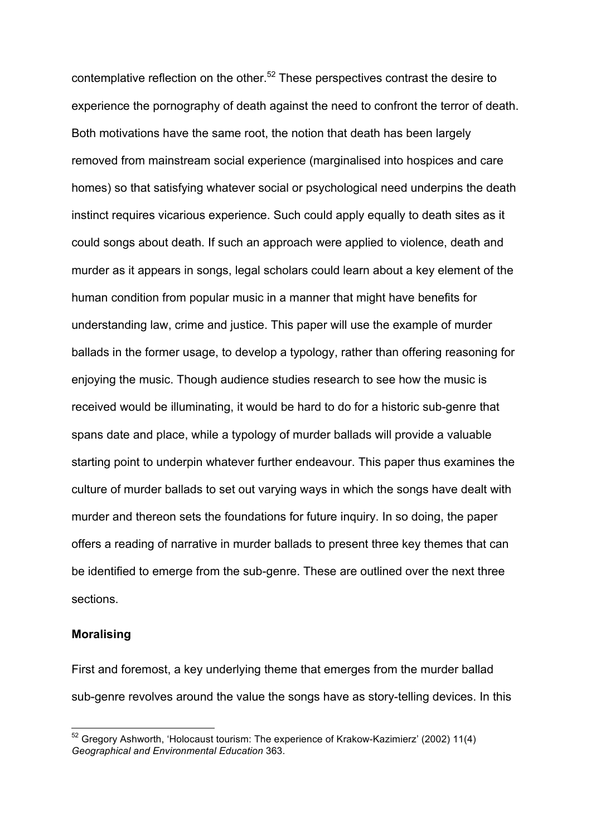contemplative reflection on the other.<sup>52</sup> These perspectives contrast the desire to experience the pornography of death against the need to confront the terror of death. Both motivations have the same root, the notion that death has been largely removed from mainstream social experience (marginalised into hospices and care homes) so that satisfying whatever social or psychological need underpins the death instinct requires vicarious experience. Such could apply equally to death sites as it could songs about death. If such an approach were applied to violence, death and murder as it appears in songs, legal scholars could learn about a key element of the human condition from popular music in a manner that might have benefits for understanding law, crime and justice. This paper will use the example of murder ballads in the former usage, to develop a typology, rather than offering reasoning for enjoying the music. Though audience studies research to see how the music is received would be illuminating, it would be hard to do for a historic sub-genre that spans date and place, while a typology of murder ballads will provide a valuable starting point to underpin whatever further endeavour. This paper thus examines the culture of murder ballads to set out varying ways in which the songs have dealt with murder and thereon sets the foundations for future inquiry. In so doing, the paper offers a reading of narrative in murder ballads to present three key themes that can be identified to emerge from the sub-genre. These are outlined over the next three sections.

### **Moralising**

First and foremost, a key underlying theme that emerges from the murder ballad sub-genre revolves around the value the songs have as story-telling devices. In this

 $52$  Gregory Ashworth, 'Holocaust tourism: The experience of Krakow-Kazimierz' (2002) 11(4) *Geographical and Environmental Education* 363.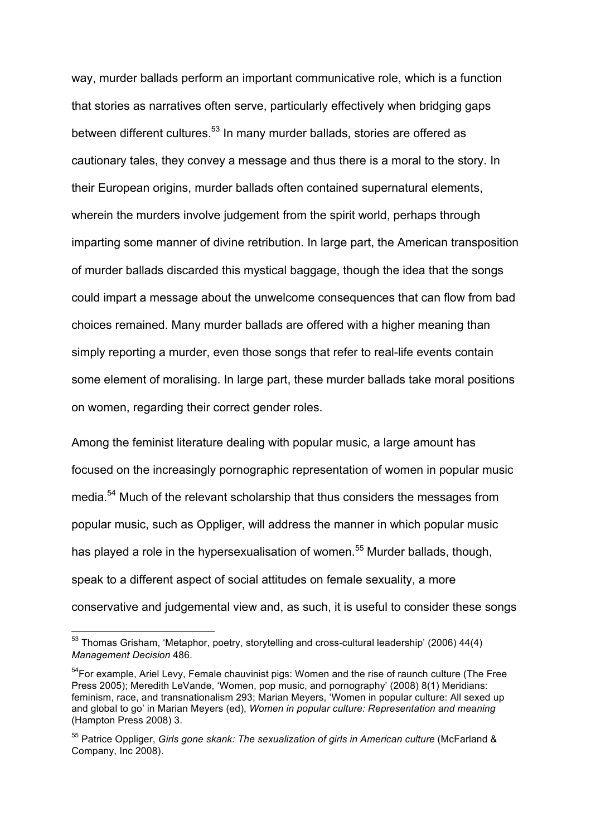way, murder ballads perform an important communicative role, which is a function that stories as narratives often serve, particularly effectively when bridging gaps between different cultures.<sup>53</sup> In many murder ballads, stories are offered as cautionary tales, they convey a message and thus there is a moral to the story. In their European origins, murder ballads often contained supernatural elements, wherein the murders involve judgement from the spirit world, perhaps through imparting some manner of divine retribution. In large part, the American transposition of murder ballads discarded this mystical baggage, though the idea that the songs could impart a message about the unwelcome consequences that can flow from bad choices remained. Many murder ballads are offered with a higher meaning than simply reporting a murder, even those songs that refer to real-life events contain some element of moralising. In large part, these murder ballads take moral positions on women, regarding their correct gender roles.

Among the feminist literature dealing with popular music, a large amount has focused on the increasingly pornographic representation of women in popular music media.<sup>54</sup> Much of the relevant scholarship that thus considers the messages from popular music, such as Oppliger, will address the manner in which popular music has played a role in the hypersexualisation of women.<sup>55</sup> Murder ballads, though, speak to a different aspect of social attitudes on female sexuality, a more conservative and judgemental view and, as such, it is useful to consider these songs

 $53$  Thomas Grisham, 'Metaphor, poetry, storytelling and cross-cultural leadership' (2006) 44(4) *Management Decision* 486.

<sup>&</sup>lt;sup>54</sup>For example, Ariel Levy, Female chauvinist pigs: Women and the rise of raunch culture (The Free Press 2005); Meredith LeVande, 'Women, pop music, and pornography' (2008) 8(1) Meridians: feminism, race, and transnationalism 293; Marian Meyers, 'Women in popular culture: All sexed up and global to go' in Marian Meyers (ed), *Women in popular culture: Representation and meaning* (Hampton Press 2008) 3.

<sup>55</sup> Patrice Oppliger, *Girls gone skank: The sexualization of girls in American culture* (McFarland & Company, Inc 2008).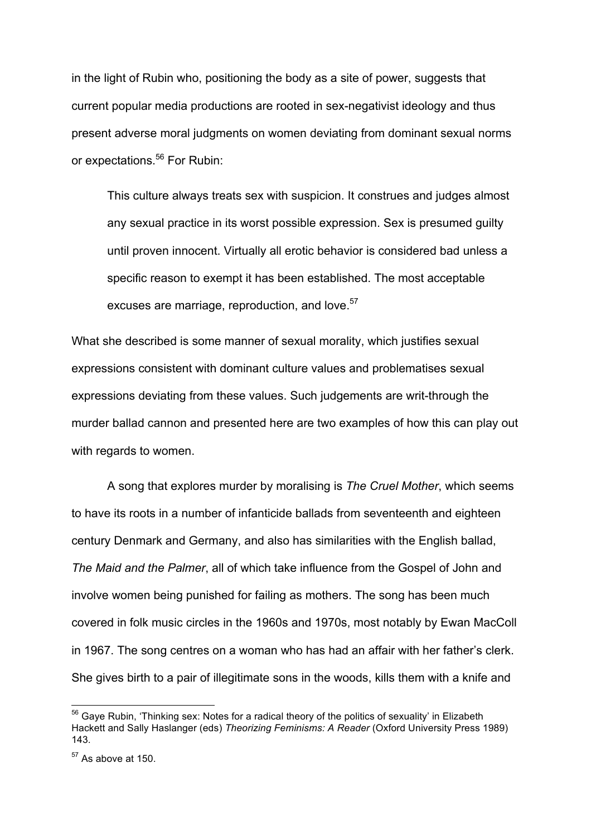in the light of Rubin who, positioning the body as a site of power, suggests that current popular media productions are rooted in sex-negativist ideology and thus present adverse moral judgments on women deviating from dominant sexual norms or expectations.<sup>56</sup> For Rubin:

This culture always treats sex with suspicion. It construes and judges almost any sexual practice in its worst possible expression. Sex is presumed guilty until proven innocent. Virtually all erotic behavior is considered bad unless a specific reason to exempt it has been established. The most acceptable excuses are marriage, reproduction, and love.<sup>57</sup>

What she described is some manner of sexual morality, which justifies sexual expressions consistent with dominant culture values and problematises sexual expressions deviating from these values. Such judgements are writ-through the murder ballad cannon and presented here are two examples of how this can play out with regards to women.

A song that explores murder by moralising is *The Cruel Mother*, which seems to have its roots in a number of infanticide ballads from seventeenth and eighteen century Denmark and Germany, and also has similarities with the English ballad, *The Maid and the Palmer*, all of which take influence from the Gospel of John and involve women being punished for failing as mothers. The song has been much covered in folk music circles in the 1960s and 1970s, most notably by Ewan MacColl in 1967. The song centres on a woman who has had an affair with her father's clerk. She gives birth to a pair of illegitimate sons in the woods, kills them with a knife and

<sup>&</sup>lt;sup>56</sup> Gaye Rubin, 'Thinking sex: Notes for a radical theory of the politics of sexuality' in Elizabeth Hackett and Sally Haslanger (eds) *Theorizing Feminisms: A Reader* (Oxford University Press 1989) 143.

 $57$  As above at 150.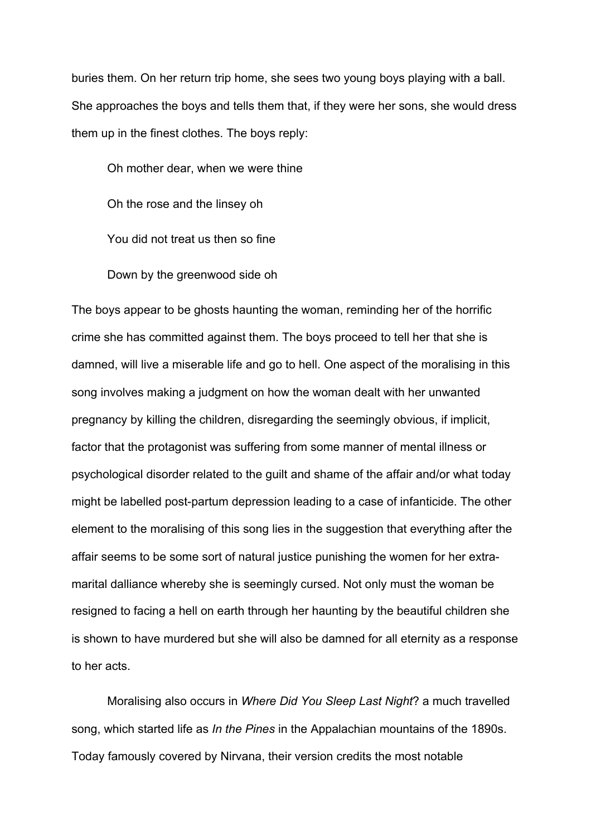buries them. On her return trip home, she sees two young boys playing with a ball. She approaches the boys and tells them that, if they were her sons, she would dress them up in the finest clothes. The boys reply:

Oh mother dear, when we were thine Oh the rose and the linsey oh You did not treat us then so fine Down by the greenwood side oh

The boys appear to be ghosts haunting the woman, reminding her of the horrific crime she has committed against them. The boys proceed to tell her that she is damned, will live a miserable life and go to hell. One aspect of the moralising in this song involves making a judgment on how the woman dealt with her unwanted pregnancy by killing the children, disregarding the seemingly obvious, if implicit, factor that the protagonist was suffering from some manner of mental illness or psychological disorder related to the guilt and shame of the affair and/or what today might be labelled post-partum depression leading to a case of infanticide. The other element to the moralising of this song lies in the suggestion that everything after the affair seems to be some sort of natural justice punishing the women for her extramarital dalliance whereby she is seemingly cursed. Not only must the woman be resigned to facing a hell on earth through her haunting by the beautiful children she is shown to have murdered but she will also be damned for all eternity as a response to her acts.

Moralising also occurs in *Where Did You Sleep Last Night*? a much travelled song, which started life as *In the Pines* in the Appalachian mountains of the 1890s. Today famously covered by Nirvana, their version credits the most notable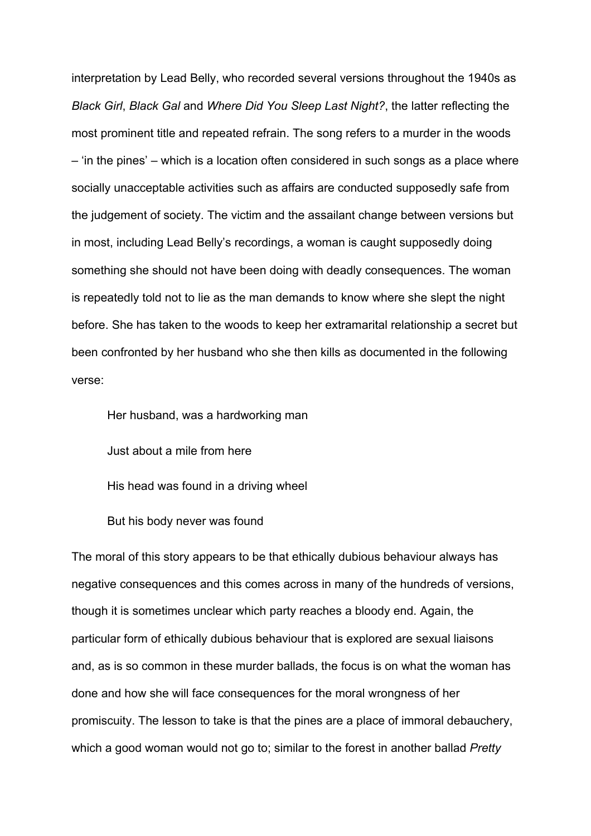interpretation by Lead Belly, who recorded several versions throughout the 1940s as *Black Girl*, *Black Gal* and *Where Did You Sleep Last Night?*, the latter reflecting the most prominent title and repeated refrain. The song refers to a murder in the woods – 'in the pines' – which is a location often considered in such songs as a place where socially unacceptable activities such as affairs are conducted supposedly safe from the judgement of society. The victim and the assailant change between versions but in most, including Lead Belly's recordings, a woman is caught supposedly doing something she should not have been doing with deadly consequences. The woman is repeatedly told not to lie as the man demands to know where she slept the night before. She has taken to the woods to keep her extramarital relationship a secret but been confronted by her husband who she then kills as documented in the following verse:

Her husband, was a hardworking man

Just about a mile from here

His head was found in a driving wheel

But his body never was found

The moral of this story appears to be that ethically dubious behaviour always has negative consequences and this comes across in many of the hundreds of versions, though it is sometimes unclear which party reaches a bloody end. Again, the particular form of ethically dubious behaviour that is explored are sexual liaisons and, as is so common in these murder ballads, the focus is on what the woman has done and how she will face consequences for the moral wrongness of her promiscuity. The lesson to take is that the pines are a place of immoral debauchery, which a good woman would not go to; similar to the forest in another ballad *Pretty*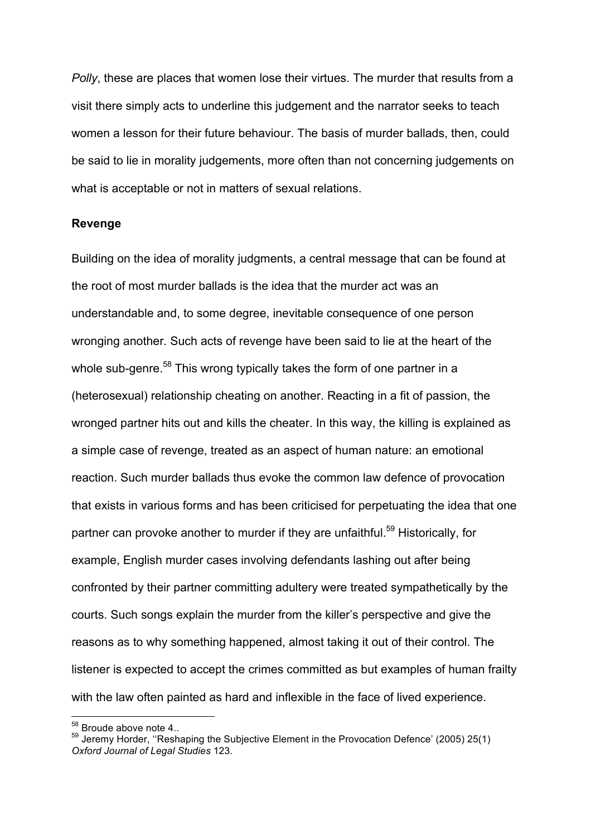*Polly*, these are places that women lose their virtues. The murder that results from a visit there simply acts to underline this judgement and the narrator seeks to teach women a lesson for their future behaviour. The basis of murder ballads, then, could be said to lie in morality judgements, more often than not concerning judgements on what is acceptable or not in matters of sexual relations.

#### **Revenge**

Building on the idea of morality judgments, a central message that can be found at the root of most murder ballads is the idea that the murder act was an understandable and, to some degree, inevitable consequence of one person wronging another. Such acts of revenge have been said to lie at the heart of the whole sub-genre.<sup>58</sup> This wrong typically takes the form of one partner in a (heterosexual) relationship cheating on another. Reacting in a fit of passion, the wronged partner hits out and kills the cheater. In this way, the killing is explained as a simple case of revenge, treated as an aspect of human nature: an emotional reaction. Such murder ballads thus evoke the common law defence of provocation that exists in various forms and has been criticised for perpetuating the idea that one partner can provoke another to murder if they are unfaithful.<sup>59</sup> Historically, for example, English murder cases involving defendants lashing out after being confronted by their partner committing adultery were treated sympathetically by the courts. Such songs explain the murder from the killer's perspective and give the reasons as to why something happened, almost taking it out of their control. The listener is expected to accept the crimes committed as but examples of human frailty with the law often painted as hard and inflexible in the face of lived experience.

 $^{58}$  Broude above note 4..<br><sup>59</sup> Jeremy Horder, "Reshaping the Subjective Element in the Provocation Defence' (2005) 25(1) *Oxford Journal of Legal Studies* 123.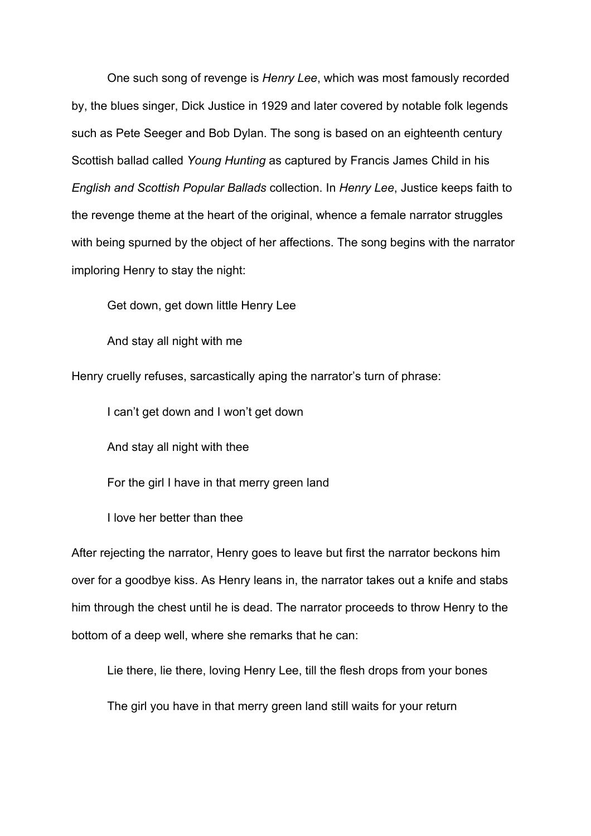One such song of revenge is *Henry Lee*, which was most famously recorded by, the blues singer, Dick Justice in 1929 and later covered by notable folk legends such as Pete Seeger and Bob Dylan. The song is based on an eighteenth century Scottish ballad called *Young Hunting* as captured by Francis James Child in his *English and Scottish Popular Ballads* collection. In *Henry Lee*, Justice keeps faith to the revenge theme at the heart of the original, whence a female narrator struggles with being spurned by the object of her affections. The song begins with the narrator imploring Henry to stay the night:

Get down, get down little Henry Lee

And stay all night with me

Henry cruelly refuses, sarcastically aping the narrator's turn of phrase:

I can't get down and I won't get down

And stay all night with thee

For the girl I have in that merry green land

I love her better than thee

After rejecting the narrator, Henry goes to leave but first the narrator beckons him over for a goodbye kiss. As Henry leans in, the narrator takes out a knife and stabs him through the chest until he is dead. The narrator proceeds to throw Henry to the bottom of a deep well, where she remarks that he can:

Lie there, lie there, loving Henry Lee, till the flesh drops from your bones

The girl you have in that merry green land still waits for your return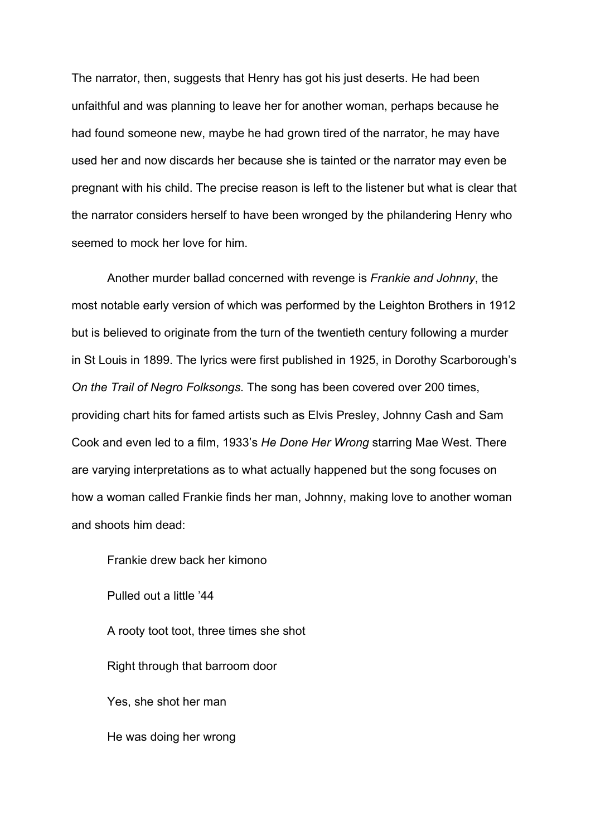The narrator, then, suggests that Henry has got his just deserts. He had been unfaithful and was planning to leave her for another woman, perhaps because he had found someone new, maybe he had grown tired of the narrator, he may have used her and now discards her because she is tainted or the narrator may even be pregnant with his child. The precise reason is left to the listener but what is clear that the narrator considers herself to have been wronged by the philandering Henry who seemed to mock her love for him.

Another murder ballad concerned with revenge is *Frankie and Johnny*, the most notable early version of which was performed by the Leighton Brothers in 1912 but is believed to originate from the turn of the twentieth century following a murder in St Louis in 1899. The lyrics were first published in 1925, in Dorothy Scarborough's *On the Trail of Negro Folksongs*. The song has been covered over 200 times, providing chart hits for famed artists such as Elvis Presley, Johnny Cash and Sam Cook and even led to a film, 1933's *He Done Her Wrong* starring Mae West. There are varying interpretations as to what actually happened but the song focuses on how a woman called Frankie finds her man, Johnny, making love to another woman and shoots him dead:

Frankie drew back her kimono Pulled out a little '44 A rooty toot toot, three times she shot Right through that barroom door Yes, she shot her man He was doing her wrong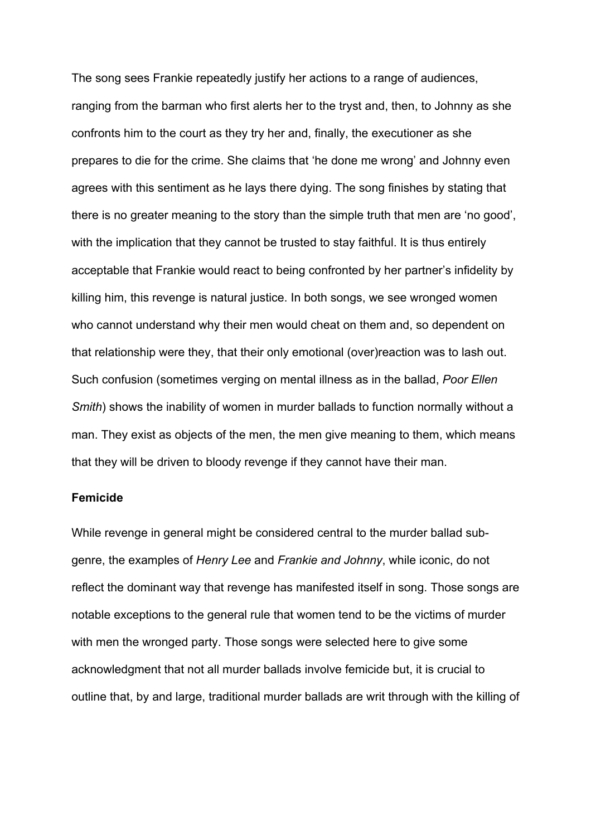The song sees Frankie repeatedly justify her actions to a range of audiences, ranging from the barman who first alerts her to the tryst and, then, to Johnny as she confronts him to the court as they try her and, finally, the executioner as she prepares to die for the crime. She claims that 'he done me wrong' and Johnny even agrees with this sentiment as he lays there dying. The song finishes by stating that there is no greater meaning to the story than the simple truth that men are 'no good', with the implication that they cannot be trusted to stay faithful. It is thus entirely acceptable that Frankie would react to being confronted by her partner's infidelity by killing him, this revenge is natural justice. In both songs, we see wronged women who cannot understand why their men would cheat on them and, so dependent on that relationship were they, that their only emotional (over)reaction was to lash out. Such confusion (sometimes verging on mental illness as in the ballad, *Poor Ellen Smith*) shows the inability of women in murder ballads to function normally without a man. They exist as objects of the men, the men give meaning to them, which means that they will be driven to bloody revenge if they cannot have their man.

## **Femicide**

While revenge in general might be considered central to the murder ballad subgenre, the examples of *Henry Lee* and *Frankie and Johnny*, while iconic, do not reflect the dominant way that revenge has manifested itself in song. Those songs are notable exceptions to the general rule that women tend to be the victims of murder with men the wronged party. Those songs were selected here to give some acknowledgment that not all murder ballads involve femicide but, it is crucial to outline that, by and large, traditional murder ballads are writ through with the killing of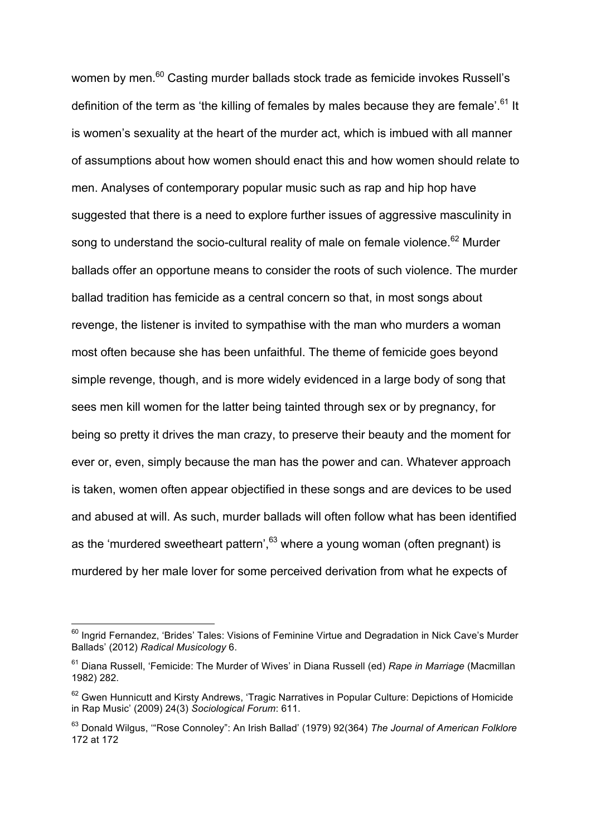women by men.<sup>60</sup> Casting murder ballads stock trade as femicide invokes Russell's definition of the term as 'the killing of females by males because they are female'.<sup>61</sup> It is women's sexuality at the heart of the murder act, which is imbued with all manner of assumptions about how women should enact this and how women should relate to men. Analyses of contemporary popular music such as rap and hip hop have suggested that there is a need to explore further issues of aggressive masculinity in song to understand the socio-cultural reality of male on female violence.<sup>62</sup> Murder ballads offer an opportune means to consider the roots of such violence. The murder ballad tradition has femicide as a central concern so that, in most songs about revenge, the listener is invited to sympathise with the man who murders a woman most often because she has been unfaithful. The theme of femicide goes beyond simple revenge, though, and is more widely evidenced in a large body of song that sees men kill women for the latter being tainted through sex or by pregnancy, for being so pretty it drives the man crazy, to preserve their beauty and the moment for ever or, even, simply because the man has the power and can. Whatever approach is taken, women often appear objectified in these songs and are devices to be used and abused at will. As such, murder ballads will often follow what has been identified as the 'murdered sweetheart pattern', $63$  where a young woman (often pregnant) is murdered by her male lover for some perceived derivation from what he expects of

<sup>&</sup>lt;sup>60</sup> Ingrid Fernandez, 'Brides' Tales: Visions of Feminine Virtue and Degradation in Nick Cave's Murder Ballads' (2012) *Radical Musicology* 6.

<sup>61</sup> Diana Russell, 'Femicide: The Murder of Wives' in Diana Russell (ed) *Rape in Marriage* (Macmillan 1982) 282.

<sup>&</sup>lt;sup>62</sup> Gwen Hunnicutt and Kirsty Andrews, 'Tragic Narratives in Popular Culture: Depictions of Homicide in Rap Music' (2009) 24(3) *Sociological Forum*: 611.

<sup>63</sup> Donald Wilgus, '"Rose Connoley": An Irish Ballad' (1979) 92(364) *The Journal of American Folklore* 172 at 172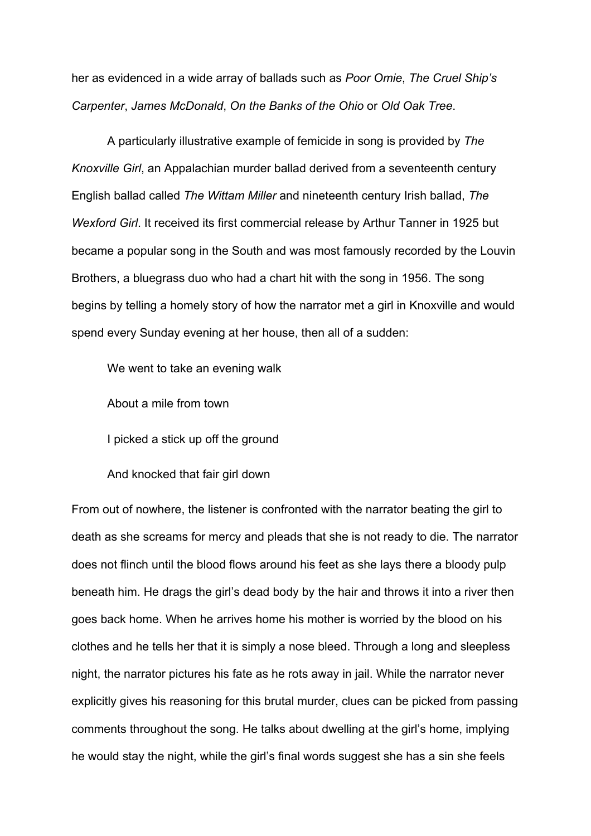her as evidenced in a wide array of ballads such as *Poor Omie*, *The Cruel Ship's Carpenter*, *James McDonald*, *On the Banks of the Ohio* or *Old Oak Tree*.

A particularly illustrative example of femicide in song is provided by *The Knoxville Girl*, an Appalachian murder ballad derived from a seventeenth century English ballad called *The Wittam Miller* and nineteenth century Irish ballad, *The Wexford Girl*. It received its first commercial release by Arthur Tanner in 1925 but became a popular song in the South and was most famously recorded by the Louvin Brothers, a bluegrass duo who had a chart hit with the song in 1956. The song begins by telling a homely story of how the narrator met a girl in Knoxville and would spend every Sunday evening at her house, then all of a sudden:

We went to take an evening walk

About a mile from town

I picked a stick up off the ground

And knocked that fair girl down

From out of nowhere, the listener is confronted with the narrator beating the girl to death as she screams for mercy and pleads that she is not ready to die. The narrator does not flinch until the blood flows around his feet as she lays there a bloody pulp beneath him. He drags the girl's dead body by the hair and throws it into a river then goes back home. When he arrives home his mother is worried by the blood on his clothes and he tells her that it is simply a nose bleed. Through a long and sleepless night, the narrator pictures his fate as he rots away in jail. While the narrator never explicitly gives his reasoning for this brutal murder, clues can be picked from passing comments throughout the song. He talks about dwelling at the girl's home, implying he would stay the night, while the girl's final words suggest she has a sin she feels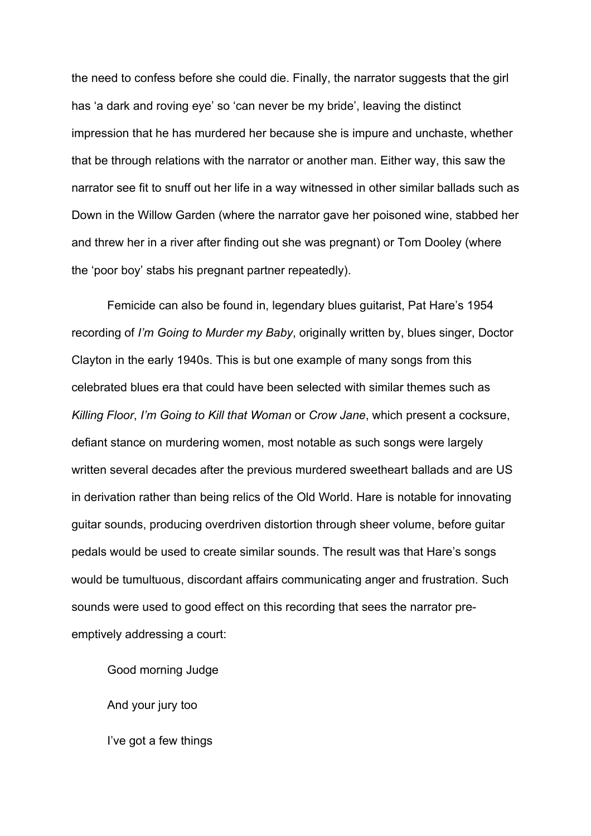the need to confess before she could die. Finally, the narrator suggests that the girl has 'a dark and roving eye' so 'can never be my bride', leaving the distinct impression that he has murdered her because she is impure and unchaste, whether that be through relations with the narrator or another man. Either way, this saw the narrator see fit to snuff out her life in a way witnessed in other similar ballads such as Down in the Willow Garden (where the narrator gave her poisoned wine, stabbed her and threw her in a river after finding out she was pregnant) or Tom Dooley (where the 'poor boy' stabs his pregnant partner repeatedly).

Femicide can also be found in, legendary blues guitarist, Pat Hare's 1954 recording of *I'm Going to Murder my Baby*, originally written by, blues singer, Doctor Clayton in the early 1940s. This is but one example of many songs from this celebrated blues era that could have been selected with similar themes such as *Killing Floor*, *I'm Going to Kill that Woman* or *Crow Jane*, which present a cocksure, defiant stance on murdering women, most notable as such songs were largely written several decades after the previous murdered sweetheart ballads and are US in derivation rather than being relics of the Old World. Hare is notable for innovating guitar sounds, producing overdriven distortion through sheer volume, before guitar pedals would be used to create similar sounds. The result was that Hare's songs would be tumultuous, discordant affairs communicating anger and frustration. Such sounds were used to good effect on this recording that sees the narrator preemptively addressing a court:

Good morning Judge

And your jury too

I've got a few things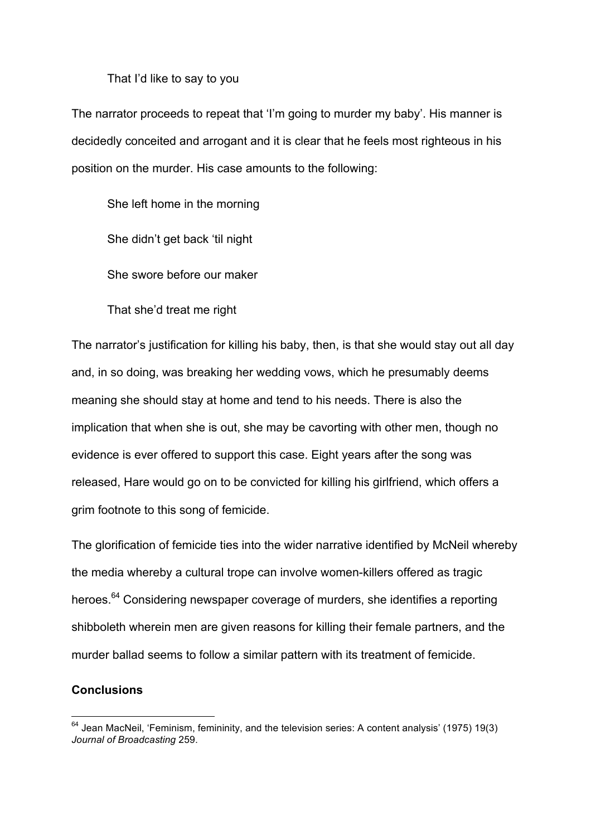#### That I'd like to say to you

The narrator proceeds to repeat that 'I'm going to murder my baby'. His manner is decidedly conceited and arrogant and it is clear that he feels most righteous in his position on the murder. His case amounts to the following:

She left home in the morning She didn't get back 'til night She swore before our maker That she'd treat me right

The narrator's justification for killing his baby, then, is that she would stay out all day and, in so doing, was breaking her wedding vows, which he presumably deems meaning she should stay at home and tend to his needs. There is also the implication that when she is out, she may be cavorting with other men, though no evidence is ever offered to support this case. Eight years after the song was released, Hare would go on to be convicted for killing his girlfriend, which offers a grim footnote to this song of femicide.

The glorification of femicide ties into the wider narrative identified by McNeil whereby the media whereby a cultural trope can involve women-killers offered as tragic heroes.<sup>64</sup> Considering newspaper coverage of murders, she identifies a reporting shibboleth wherein men are given reasons for killing their female partners, and the murder ballad seems to follow a similar pattern with its treatment of femicide.

# **Conclusions**

 $64$  Jean MacNeil, 'Feminism, femininity, and the television series: A content analysis' (1975) 19(3) *Journal of Broadcasting* 259.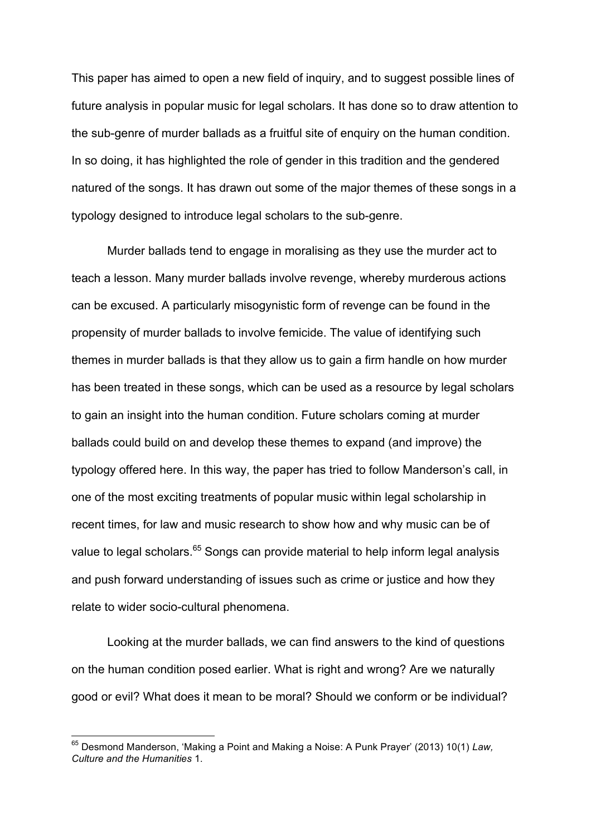This paper has aimed to open a new field of inquiry, and to suggest possible lines of future analysis in popular music for legal scholars. It has done so to draw attention to the sub-genre of murder ballads as a fruitful site of enquiry on the human condition. In so doing, it has highlighted the role of gender in this tradition and the gendered natured of the songs. It has drawn out some of the major themes of these songs in a typology designed to introduce legal scholars to the sub-genre.

Murder ballads tend to engage in moralising as they use the murder act to teach a lesson. Many murder ballads involve revenge, whereby murderous actions can be excused. A particularly misogynistic form of revenge can be found in the propensity of murder ballads to involve femicide. The value of identifying such themes in murder ballads is that they allow us to gain a firm handle on how murder has been treated in these songs, which can be used as a resource by legal scholars to gain an insight into the human condition. Future scholars coming at murder ballads could build on and develop these themes to expand (and improve) the typology offered here. In this way, the paper has tried to follow Manderson's call, in one of the most exciting treatments of popular music within legal scholarship in recent times, for law and music research to show how and why music can be of value to legal scholars.<sup>65</sup> Songs can provide material to help inform legal analysis and push forward understanding of issues such as crime or justice and how they relate to wider socio-cultural phenomena.

Looking at the murder ballads, we can find answers to the kind of questions on the human condition posed earlier. What is right and wrong? Are we naturally good or evil? What does it mean to be moral? Should we conform or be individual?

 <sup>65</sup> Desmond Manderson, 'Making a Point and Making a Noise: A Punk Prayer' (2013) 10(1) *Law, Culture and the Humanities* 1.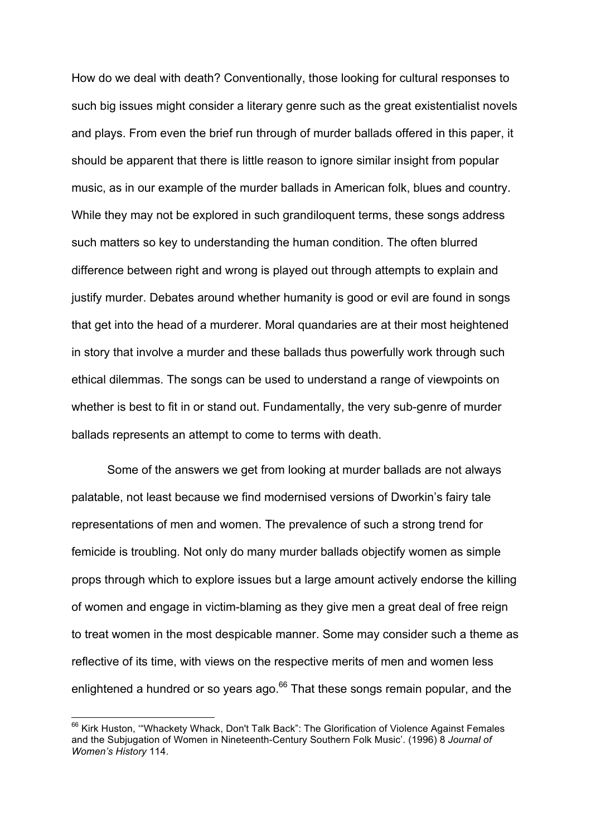How do we deal with death? Conventionally, those looking for cultural responses to such big issues might consider a literary genre such as the great existentialist novels and plays. From even the brief run through of murder ballads offered in this paper, it should be apparent that there is little reason to ignore similar insight from popular music, as in our example of the murder ballads in American folk, blues and country. While they may not be explored in such grandiloquent terms, these songs address such matters so key to understanding the human condition. The often blurred difference between right and wrong is played out through attempts to explain and justify murder. Debates around whether humanity is good or evil are found in songs that get into the head of a murderer. Moral quandaries are at their most heightened in story that involve a murder and these ballads thus powerfully work through such ethical dilemmas. The songs can be used to understand a range of viewpoints on whether is best to fit in or stand out. Fundamentally, the very sub-genre of murder ballads represents an attempt to come to terms with death.

Some of the answers we get from looking at murder ballads are not always palatable, not least because we find modernised versions of Dworkin's fairy tale representations of men and women. The prevalence of such a strong trend for femicide is troubling. Not only do many murder ballads objectify women as simple props through which to explore issues but a large amount actively endorse the killing of women and engage in victim-blaming as they give men a great deal of free reign to treat women in the most despicable manner. Some may consider such a theme as reflective of its time, with views on the respective merits of men and women less enlightened a hundred or so years ago. $66$  That these songs remain popular, and the

<sup>&</sup>lt;sup>66</sup> Kirk Huston, "'Whackety Whack, Don't Talk Back": The Glorification of Violence Against Females and the Subjugation of Women in Nineteenth-Century Southern Folk Music'. (1996) 8 *Journal of Women's History* 114.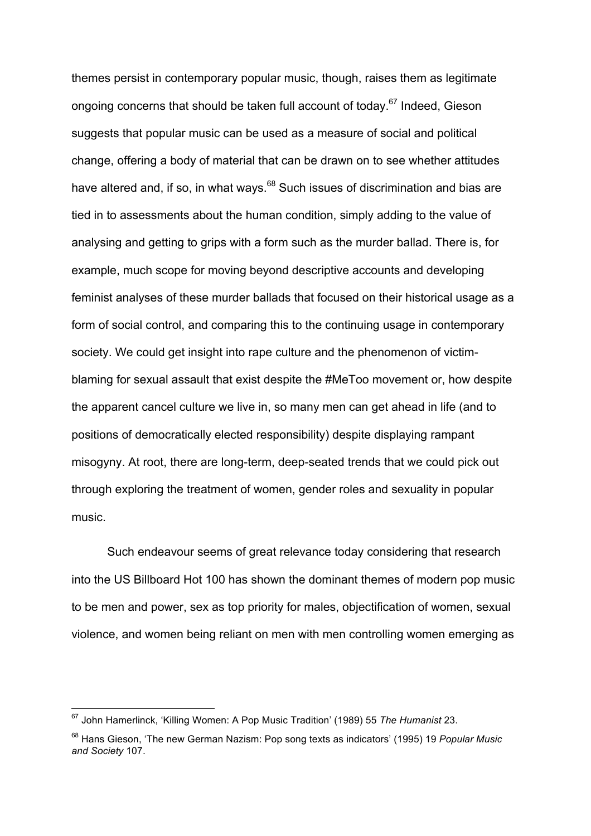themes persist in contemporary popular music, though, raises them as legitimate ongoing concerns that should be taken full account of today.67 Indeed, Gieson suggests that popular music can be used as a measure of social and political change, offering a body of material that can be drawn on to see whether attitudes have altered and, if so, in what ways. $68$  Such issues of discrimination and bias are tied in to assessments about the human condition, simply adding to the value of analysing and getting to grips with a form such as the murder ballad. There is, for example, much scope for moving beyond descriptive accounts and developing feminist analyses of these murder ballads that focused on their historical usage as a form of social control, and comparing this to the continuing usage in contemporary society. We could get insight into rape culture and the phenomenon of victimblaming for sexual assault that exist despite the #MeToo movement or, how despite the apparent cancel culture we live in, so many men can get ahead in life (and to positions of democratically elected responsibility) despite displaying rampant misogyny. At root, there are long-term, deep-seated trends that we could pick out through exploring the treatment of women, gender roles and sexuality in popular music.

Such endeavour seems of great relevance today considering that research into the US Billboard Hot 100 has shown the dominant themes of modern pop music to be men and power, sex as top priority for males, objectification of women, sexual violence, and women being reliant on men with men controlling women emerging as

 <sup>67</sup> John Hamerlinck, 'Killing Women: A Pop Music Tradition' (1989) 55 *The Humanist* 23.

<sup>68</sup> Hans Gieson, 'The new German Nazism: Pop song texts as indicators' (1995) 19 *Popular Music and Society* 107.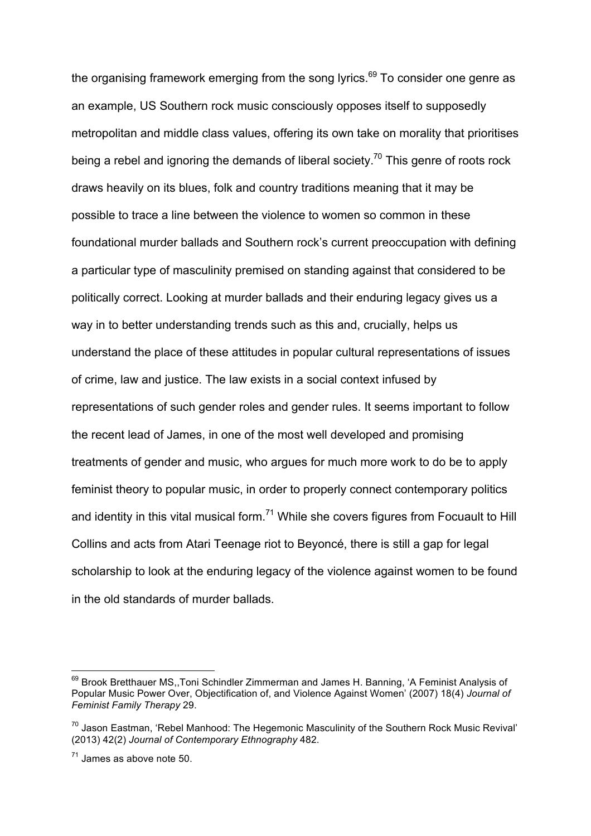the organising framework emerging from the song lyrics.<sup>69</sup> To consider one genre as an example, US Southern rock music consciously opposes itself to supposedly metropolitan and middle class values, offering its own take on morality that prioritises being a rebel and ignoring the demands of liberal society.<sup>70</sup> This genre of roots rock draws heavily on its blues, folk and country traditions meaning that it may be possible to trace a line between the violence to women so common in these foundational murder ballads and Southern rock's current preoccupation with defining a particular type of masculinity premised on standing against that considered to be politically correct. Looking at murder ballads and their enduring legacy gives us a way in to better understanding trends such as this and, crucially, helps us understand the place of these attitudes in popular cultural representations of issues of crime, law and justice. The law exists in a social context infused by representations of such gender roles and gender rules. It seems important to follow the recent lead of James, in one of the most well developed and promising treatments of gender and music, who argues for much more work to do be to apply feminist theory to popular music, in order to properly connect contemporary politics and identity in this vital musical form.<sup>71</sup> While she covers figures from Focuault to Hill Collins and acts from Atari Teenage riot to Beyoncé, there is still a gap for legal scholarship to look at the enduring legacy of the violence against women to be found in the old standards of murder ballads.

<sup>&</sup>lt;sup>69</sup> Brook Bretthauer MS,,Toni Schindler Zimmerman and James H. Banning, 'A Feminist Analysis of Popular Music Power Over, Objectification of, and Violence Against Women' (2007) 18(4) *Journal of Feminist Family Therapy* 29.

 $70$  Jason Eastman. 'Rebel Manhood: The Hegemonic Masculinity of the Southern Rock Music Revival' (2013) 42(2) *Journal of Contemporary Ethnography* 482.

 $71$  James as above note 50.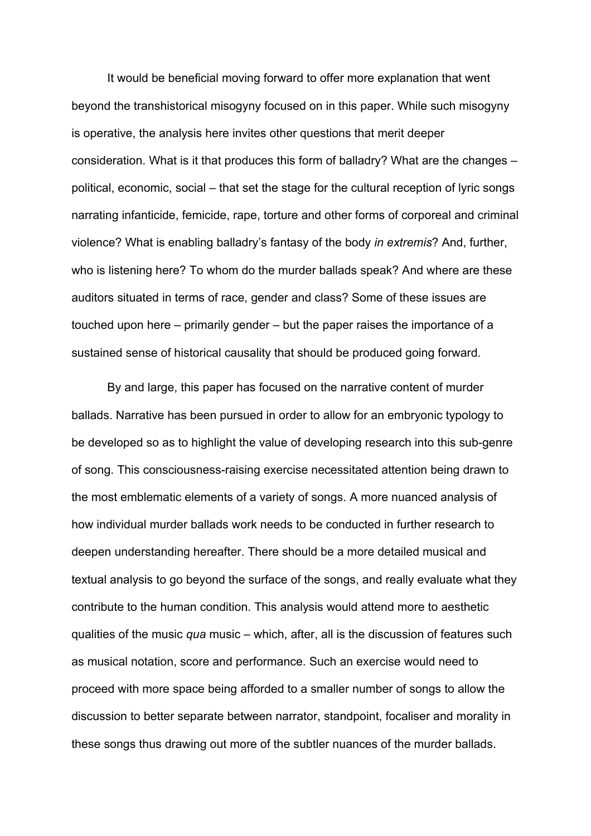It would be beneficial moving forward to offer more explanation that went beyond the transhistorical misogyny focused on in this paper. While such misogyny is operative, the analysis here invites other questions that merit deeper consideration. What is it that produces this form of balladry? What are the changes – political, economic, social – that set the stage for the cultural reception of lyric songs narrating infanticide, femicide, rape, torture and other forms of corporeal and criminal violence? What is enabling balladry's fantasy of the body *in extremis*? And, further, who is listening here? To whom do the murder ballads speak? And where are these auditors situated in terms of race, gender and class? Some of these issues are touched upon here – primarily gender – but the paper raises the importance of a sustained sense of historical causality that should be produced going forward.

By and large, this paper has focused on the narrative content of murder ballads. Narrative has been pursued in order to allow for an embryonic typology to be developed so as to highlight the value of developing research into this sub-genre of song. This consciousness-raising exercise necessitated attention being drawn to the most emblematic elements of a variety of songs. A more nuanced analysis of how individual murder ballads work needs to be conducted in further research to deepen understanding hereafter. There should be a more detailed musical and textual analysis to go beyond the surface of the songs, and really evaluate what they contribute to the human condition. This analysis would attend more to aesthetic qualities of the music *qua* music – which, after, all is the discussion of features such as musical notation, score and performance. Such an exercise would need to proceed with more space being afforded to a smaller number of songs to allow the discussion to better separate between narrator, standpoint, focaliser and morality in these songs thus drawing out more of the subtler nuances of the murder ballads.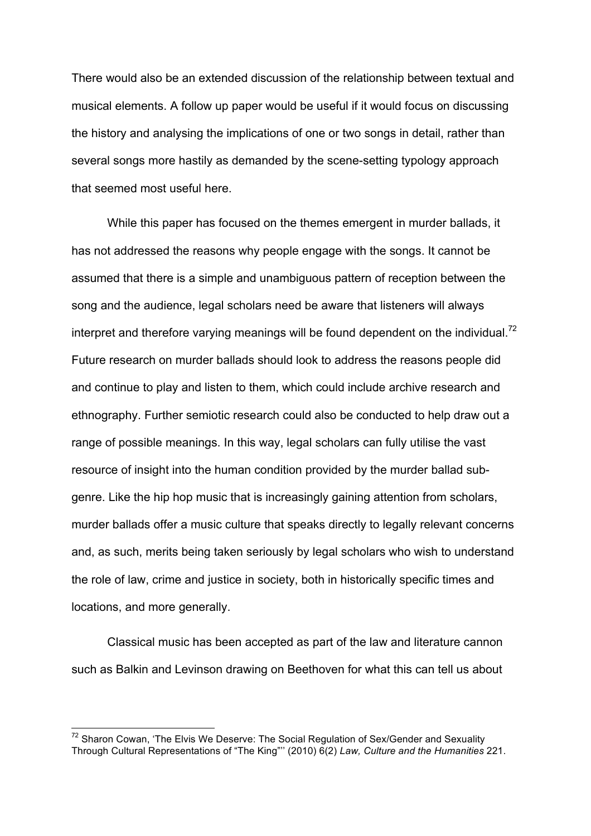There would also be an extended discussion of the relationship between textual and musical elements. A follow up paper would be useful if it would focus on discussing the history and analysing the implications of one or two songs in detail, rather than several songs more hastily as demanded by the scene-setting typology approach that seemed most useful here.

While this paper has focused on the themes emergent in murder ballads, it has not addressed the reasons why people engage with the songs. It cannot be assumed that there is a simple and unambiguous pattern of reception between the song and the audience, legal scholars need be aware that listeners will always interpret and therefore varying meanings will be found dependent on the individual.<sup>72</sup> Future research on murder ballads should look to address the reasons people did and continue to play and listen to them, which could include archive research and ethnography. Further semiotic research could also be conducted to help draw out a range of possible meanings. In this way, legal scholars can fully utilise the vast resource of insight into the human condition provided by the murder ballad subgenre. Like the hip hop music that is increasingly gaining attention from scholars, murder ballads offer a music culture that speaks directly to legally relevant concerns and, as such, merits being taken seriously by legal scholars who wish to understand the role of law, crime and justice in society, both in historically specific times and locations, and more generally.

Classical music has been accepted as part of the law and literature cannon such as Balkin and Levinson drawing on Beethoven for what this can tell us about

 $72$  Sharon Cowan, 'The Elvis We Deserve: The Social Regulation of Sex/Gender and Sexuality Through Cultural Representations of "The King"'' (2010) 6(2) *Law, Culture and the Humanities* 221.